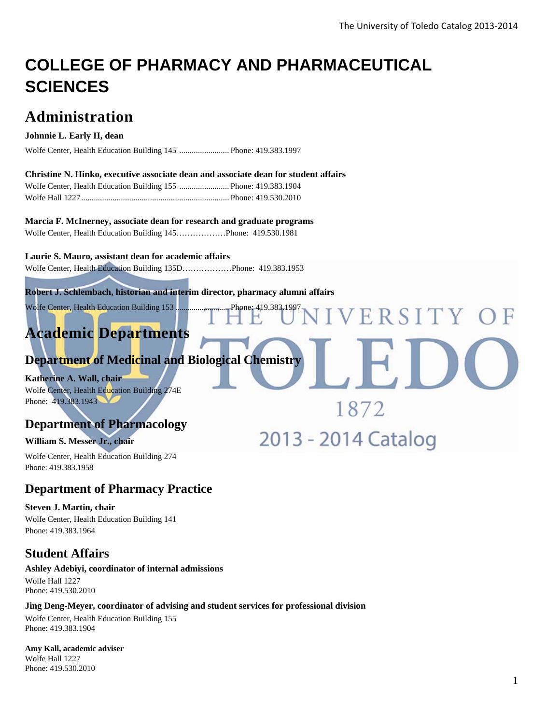ERSITY OF

1872

2013 - 2014 Catalog

# **COLLEGE OF PHARMACY AND PHARMACEUTICAL SCIENCES**

## **Administration**

#### **Johnnie L. Early II, dean**

Wolfe Center, Health Education Building 145 ........................ Phone: 419.383.1997

#### **Christine N. Hinko, executive associate dean and associate dean for student affairs**

#### **Marcia F. McInerney, associate dean for research and graduate programs**

Wolfe Center, Health Education Building 145………………Phone: 419.530.1981

#### **Laurie S. Mauro, assistant dean for academic affairs**

Wolfe Center, Health Education Building 135D………………Phone: 419.383.1953

#### **Robert J. Schlembach, historian and interim director, pharmacy alumni affairs**

Wolfe Center, Health Education Building 153 ........................... Phone: 419.383.1997

## **Academic Departments**

## **Department of Medicinal and Biological Chemistry**

**Katherine A. Wall, chair**  Wolfe Center, Health Education Building 274E Phone: 419.383.1943

## **Department of Pharmacology**

#### **William S. Messer Jr., chair**

Wolfe Center, Health Education Building 274 Phone: 419.383.1958

## **Department of Pharmacy Practice**

#### **Steven J. Martin, chair**

Wolfe Center, Health Education Building 141 Phone: 419.383.1964

## **Student Affairs**

#### **Ashley Adebiyi, coordinator of internal admissions**

Wolfe Hall 1227 Phone: 419.530.2010

#### **Jing Deng-Meyer, coordinator of advising and student services for professional division**

Wolfe Center, Health Education Building 155 Phone: 419.383.1904

**Amy Kall, academic adviser**  Wolfe Hall 1227 Phone: 419.530.2010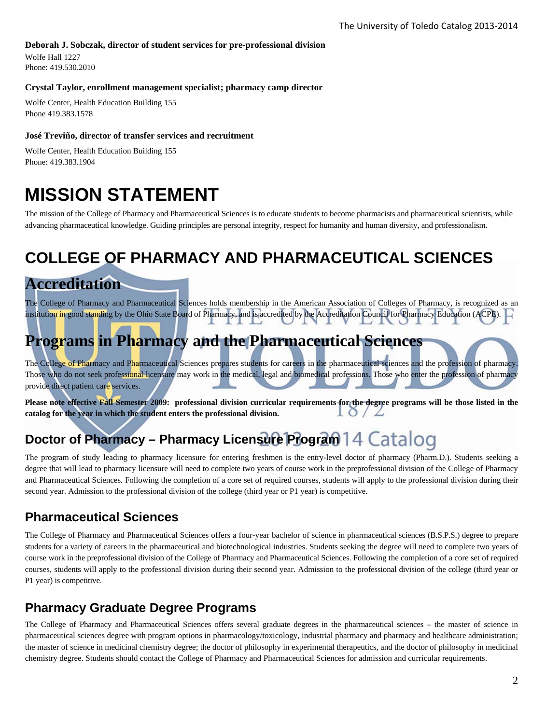#### **Deborah J. Sobczak, director of student services for pre-professional division**

Wolfe Hall 1227 Phone: 419.530.2010

#### **Crystal Taylor, enrollment management specialist; pharmacy camp director**

Wolfe Center, Health Education Building 155 Phone 419.383.1578

#### **José Treviño, director of transfer services and recruitment**

Wolfe Center, Health Education Building 155 Phone: 419.383.1904

# **MISSION STATEMENT**

The mission of the College of Pharmacy and Pharmaceutical Sciences is to educate students to become pharmacists and pharmaceutical scientists, while advancing pharmaceutical knowledge. Guiding principles are personal integrity, respect for humanity and human diversity, and professionalism.

## **COLLEGE OF PHARMACY AND PHARMACEUTICAL SCIENCES**

## **Accreditation**

The College of Pharmacy and Pharmaceutical Sciences holds membership in the American Association of Colleges of Pharmacy, is recognized as an institution in good standing by the Ohio State Board of Pharmacy, and is accredited by the Accreditation Council for Pharmacy Education (ACPE).

## **Programs in Pharmacy and the Pharmaceutical Sciences**

The College of Pharmacy and Pharmaceutical Sciences prepares students for careers in the pharmaceutical sciences and the profession of pharmacy Those who do not seek professional licensure may work in the medical, legal and biomedical professions. Those who enter the profession of pharmacy provide direct patient care services.

**Please note effective Fall Semester 2009: professional division curricular requirements for the degree programs will be those listed in the catalog for the year in which the student enters the professional division.**   $10/2$ 

## **Doctor of Pharmacy – Pharmacy Licensure Program 14 Catalog**

The program of study leading to pharmacy licensure for entering freshmen is the entry-level doctor of pharmacy (Pharm.D.). Students seeking a degree that will lead to pharmacy licensure will need to complete two years of course work in the preprofessional division of the College of Pharmacy and Pharmaceutical Sciences. Following the completion of a core set of required courses, students will apply to the professional division during their second year. Admission to the professional division of the college (third year or P1 year) is competitive.

## **Pharmaceutical Sciences**

The College of Pharmacy and Pharmaceutical Sciences offers a four-year bachelor of science in pharmaceutical sciences (B.S.P.S.) degree to prepare students for a variety of careers in the pharmaceutical and biotechnological industries. Students seeking the degree will need to complete two years of course work in the preprofessional division of the College of Pharmacy and Pharmaceutical Sciences. Following the completion of a core set of required courses, students will apply to the professional division during their second year. Admission to the professional division of the college (third year or P1 year) is competitive.

## **Pharmacy Graduate Degree Programs**

The College of Pharmacy and Pharmaceutical Sciences offers several graduate degrees in the pharmaceutical sciences – the master of science in pharmaceutical sciences degree with program options in pharmacology/toxicology, industrial pharmacy and pharmacy and healthcare administration; the master of science in medicinal chemistry degree; the doctor of philosophy in experimental therapeutics, and the doctor of philosophy in medicinal chemistry degree. Students should contact the College of Pharmacy and Pharmaceutical Sciences for admission and curricular requirements.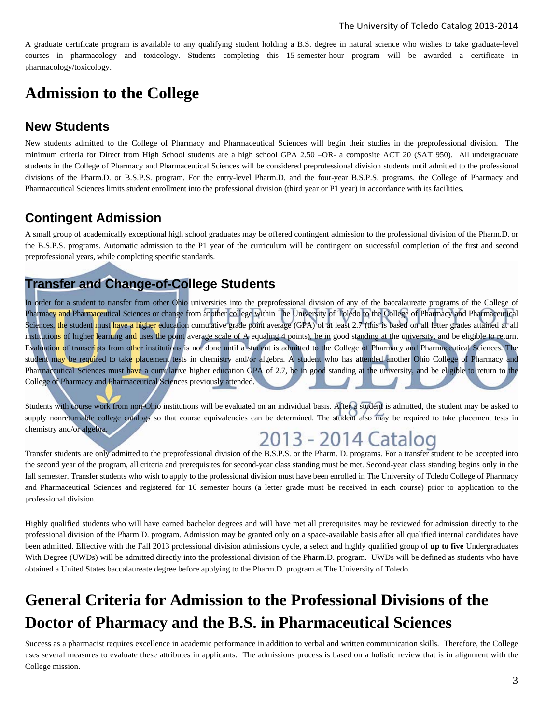A graduate certificate program is available to any qualifying student holding a B.S. degree in natural science who wishes to take graduate-level courses in pharmacology and toxicology. Students completing this 15-semester-hour program will be awarded a certificate in pharmacology/toxicology.

## **Admission to the College**

## **New Students**

New students admitted to the College of Pharmacy and Pharmaceutical Sciences will begin their studies in the preprofessional division. The minimum criteria for Direct from High School students are a high school GPA 2.50 –OR- a composite ACT 20 (SAT 950). All undergraduate students in the College of Pharmacy and Pharmaceutical Sciences will be considered preprofessional division students until admitted to the professional divisions of the Pharm.D. or B.S.P.S. program. For the entry-level Pharm.D. and the four-year B.S.P.S. programs, the College of Pharmacy and Pharmaceutical Sciences limits student enrollment into the professional division (third year or P1 year) in accordance with its facilities.

## **Contingent Admission**

A small group of academically exceptional high school graduates may be offered contingent admission to the professional division of the Pharm.D. or the B.S.P.S. programs. Automatic admission to the P1 year of the curriculum will be contingent on successful completion of the first and second preprofessional years, while completing specific standards.

## **Transfer and Change-of-College Students**

In order for a student to transfer from other Ohio universities into the preprofessional division of any of the baccalaureate programs of the College of Pharmacy and Pharmaceutical Sciences or change from another college within The University of Toledo to the College of Pharmacy and Pharmaceutical Sciences, the student must have a higher education cumulative grade point average (GPA) of at least 2.7 (this is based on all letter grades attained at all institutions of higher learning and uses the point average scale of A equaling 4 points), be in good standing at the university, and be eligible to return. Evaluation of transcripts from other institutions is not done until a student is admitted to the College of Pharmacy and Pharmaceutical Sciences. The student may be required to take placement tests in chemistry and/or algebra. A student who has attended another Ohio College of Pharmacy and Pharmaceutical Sciences must have a cumulative higher education GPA of 2.7, be in good standing at the university, and be eligible to return to the College of Pharmacy and Pharmaceutical Sciences previously attended.

Students with course work from non-Ohio institutions will be evaluated on an individual basis. After a student is admitted, the student may be asked to supply nonreturnable college catalogs so that course equivalencies can be determined. The student also may be required to take placement tests in chemistry and/or algebra.

# 2013 - 2014 Catalog

Transfer students are only admitted to the preprofessional division of the B.S.P.S. or the Pharm. D. programs. For a transfer student to be accepted into the second year of the program, all criteria and prerequisites for second-year class standing must be met. Second-year class standing begins only in the fall semester. Transfer students who wish to apply to the professional division must have been enrolled in The University of Toledo College of Pharmacy and Pharmaceutical Sciences and registered for 16 semester hours (a letter grade must be received in each course) prior to application to the professional division.

Highly qualified students who will have earned bachelor degrees and will have met all prerequisites may be reviewed for admission directly to the professional division of the Pharm.D. program. Admission may be granted only on a space-available basis after all qualified internal candidates have been admitted. Effective with the Fall 2013 professional division admissions cycle, a select and highly qualified group of **up to five** Undergraduates With Degree (UWDs) will be admitted directly into the professional division of the Pharm.D. program. UWDs will be defined as students who have obtained a United States baccalaureate degree before applying to the Pharm.D. program at The University of Toledo.

# **General Criteria for Admission to the Professional Divisions of the Doctor of Pharmacy and the B.S. in Pharmaceutical Sciences**

Success as a pharmacist requires excellence in academic performance in addition to verbal and written communication skills. Therefore, the College uses several measures to evaluate these attributes in applicants. The admissions process is based on a holistic review that is in alignment with the College mission.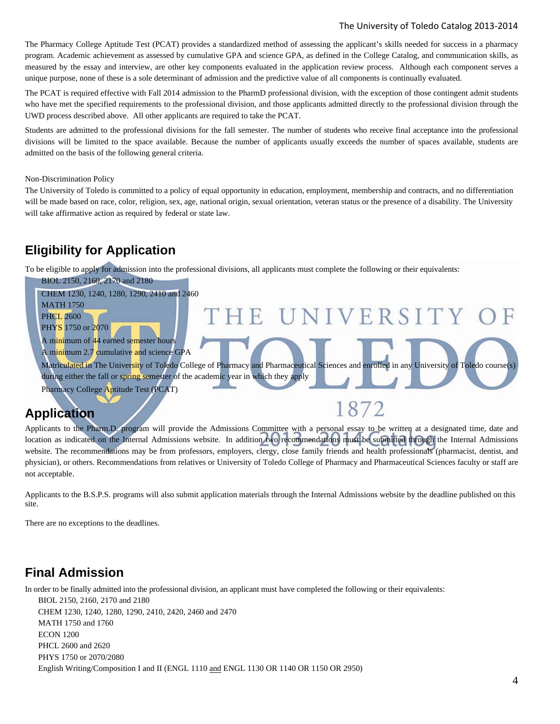#### The University of Toledo Catalog 2013‐2014

The Pharmacy College Aptitude Test (PCAT) provides a standardized method of assessing the applicant's skills needed for success in a pharmacy program. Academic achievement as assessed by cumulative GPA and science GPA, as defined in the College Catalog, and communication skills, as measured by the essay and interview, are other key components evaluated in the application review process. Although each component serves a unique purpose, none of these is a sole determinant of admission and the predictive value of all components is continually evaluated.

The PCAT is required effective with Fall 2014 admission to the PharmD professional division, with the exception of those contingent admit students who have met the specified requirements to the professional division, and those applicants admitted directly to the professional division through the UWD process described above. All other applicants are required to take the PCAT.

Students are admitted to the professional divisions for the fall semester. The number of students who receive final acceptance into the professional divisions will be limited to the space available. Because the number of applicants usually exceeds the number of spaces available, students are admitted on the basis of the following general criteria.

Non-Discrimination Policy

The University of Toledo is committed to a policy of equal opportunity in education, employment, membership and contracts, and no differentiation will be made based on race, color, religion, sex, age, national origin, sexual orientation, veteran status or the presence of a disability. The University will take affirmative action as required by federal or state law.

## **Eligibility for Application**

To be eligible to apply for admission into the professional divisions, all applicants must complete the following or their equivalents:



## **Application**

Applicants to the Pharm.D. program will provide the Admissions Committee with a personal essay to be written at a designated time, date and location as indicated on the Internal Admissions website. In addition two recommendations must be submitted through the Internal Admissions website. The recommendations may be from professors, employers, clergy, close family friends and health professionals (pharmacist, dentist, and physician), or others. Recommendations from relatives or University of Toledo College of Pharmacy and Pharmaceutical Sciences faculty or staff are not acceptable.

Applicants to the B.S.P.S. programs will also submit application materials through the Internal Admissions website by the deadline published on this site.

There are no exceptions to the deadlines.

## **Final Admission**

In order to be finally admitted into the professional division, an applicant must have completed the following or their equivalents:

BIOL 2150, 2160, 2170 and 2180 CHEM 1230, 1240, 1280, 1290, 2410, 2420, 2460 and 2470 MATH 1750 and 1760 ECON 1200 PHCL 2600 and 2620 PHYS 1750 or 2070/2080 English Writing/Composition I and II (ENGL 1110 and ENGL 1130 OR 1140 OR 1150 OR 2950)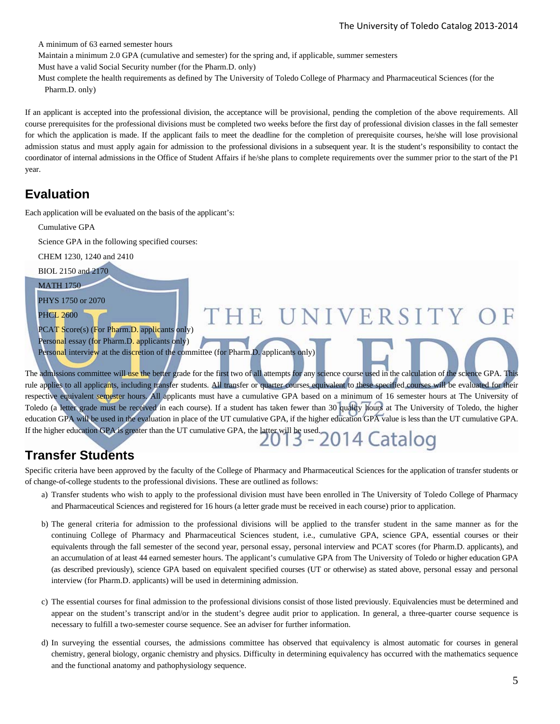A minimum of 63 earned semester hours

Maintain a minimum 2.0 GPA (cumulative and semester) for the spring and, if applicable, summer semesters

Must have a valid Social Security number (for the Pharm.D. only)

Must complete the health requirements as defined by The University of Toledo College of Pharmacy and Pharmaceutical Sciences (for the Pharm.D. only)

If an applicant is accepted into the professional division, the acceptance will be provisional, pending the completion of the above requirements. All course prerequisites for the professional divisions must be completed two weeks before the first day of professional division classes in the fall semester for which the application is made. If the applicant fails to meet the deadline for the completion of prerequisite courses, he/she will lose provisional admission status and must apply again for admission to the professional divisions in a subsequent year. It is the student's responsibility to contact the coordinator of internal admissions in the Office of Student Affairs if he/she plans to complete requirements over the summer prior to the start of the P1 year.

## **Evaluation**

Each application will be evaluated on the basis of the applicant's:

| Cumulative GPA                                                                                                                                                 |
|----------------------------------------------------------------------------------------------------------------------------------------------------------------|
| Science GPA in the following specified courses:                                                                                                                |
| CHEM 1230, 1240 and 2410                                                                                                                                       |
| BIOL 2150 and 2170                                                                                                                                             |
| <b>MATH 1750</b>                                                                                                                                               |
| PHYS 1750 or 2070                                                                                                                                              |
| THE UNIVERSITY OF<br><b>PHCL 2600</b>                                                                                                                          |
| PCAT Score(s) (For Pharm.D. applicants only)                                                                                                                   |
| Personal essay (for Pharm.D. applicants only)                                                                                                                  |
| Personal interview at the discretion of the committee (for Pharm.D. applicants only)                                                                           |
| The admissions committee will use the better grade for the first two of all attempts for any science course used in the calculation of the science GPA. This   |
| rule applies to all applicants, including transfer students. All transfer or quarter courses equivalent to these specified courses will be evaluated for their |
| respective equivalent semester hours. All applicants must have a cumulative GPA based on a minimum of 16 semester hours at The University of                   |

Toledo (a letter grade must be received in each course). If a student has taken fewer than 30 quality hours at The University of Toledo, the higher education GPA will be used in the evaluation in place of the UT cumulative GPA, if the higher education GPA value is less than the UT cumulative GPA. education GPA will be used in the evaluation in place of the Category of the latter will be used.<br>If the higher education GPA is greater than the UT cumulative GPA, the latter will be used.<br> $2013 - 2014$  Catalog

## **Transfer Students**

Specific criteria have been approved by the faculty of the College of Pharmacy and Pharmaceutical Sciences for the application of transfer students or of change-of-college students to the professional divisions. These are outlined as follows:

- a) Transfer students who wish to apply to the professional division must have been enrolled in The University of Toledo College of Pharmacy and Pharmaceutical Sciences and registered for 16 hours (a letter grade must be received in each course) prior to application.
- b) The general criteria for admission to the professional divisions will be applied to the transfer student in the same manner as for the continuing College of Pharmacy and Pharmaceutical Sciences student, i.e., cumulative GPA, science GPA, essential courses or their equivalents through the fall semester of the second year, personal essay, personal interview and PCAT scores (for Pharm.D. applicants), and an accumulation of at least 44 earned semester hours. The applicant's cumulative GPA from The University of Toledo or higher education GPA (as described previously), science GPA based on equivalent specified courses (UT or otherwise) as stated above, personal essay and personal interview (for Pharm.D. applicants) will be used in determining admission.
- c) The essential courses for final admission to the professional divisions consist of those listed previously. Equivalencies must be determined and appear on the student's transcript and/or in the student's degree audit prior to application. In general, a three-quarter course sequence is necessary to fulfill a two-semester course sequence. See an adviser for further information.
- d) In surveying the essential courses, the admissions committee has observed that equivalency is almost automatic for courses in general chemistry, general biology, organic chemistry and physics. Difficulty in determining equivalency has occurred with the mathematics sequence and the functional anatomy and pathophysiology sequence.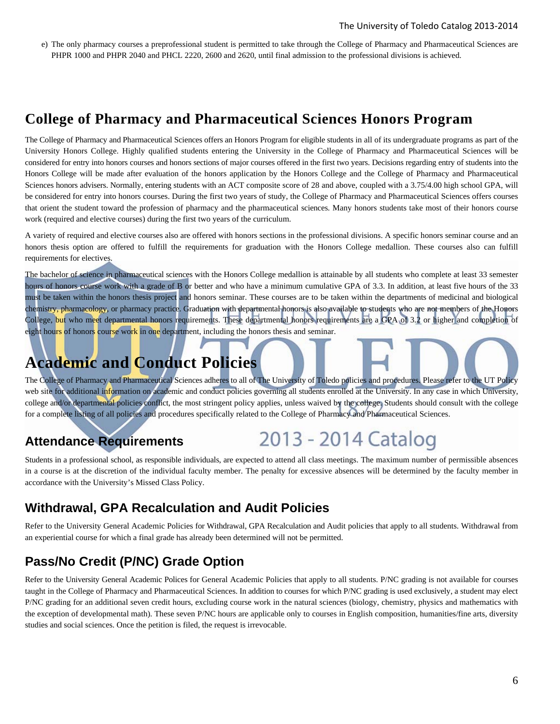e) The only pharmacy courses a preprofessional student is permitted to take through the College of Pharmacy and Pharmaceutical Sciences are PHPR 1000 and PHPR 2040 and PHCL 2220, 2600 and 2620, until final admission to the professional divisions is achieved.

## **College of Pharmacy and Pharmaceutical Sciences Honors Program**

The College of Pharmacy and Pharmaceutical Sciences offers an Honors Program for eligible students in all of its undergraduate programs as part of the University Honors College. Highly qualified students entering the University in the College of Pharmacy and Pharmaceutical Sciences will be considered for entry into honors courses and honors sections of major courses offered in the first two years. Decisions regarding entry of students into the Honors College will be made after evaluation of the honors application by the Honors College and the College of Pharmacy and Pharmaceutical Sciences honors advisers. Normally, entering students with an ACT composite score of 28 and above, coupled with a 3.75/4.00 high school GPA, will be considered for entry into honors courses. During the first two years of study, the College of Pharmacy and Pharmaceutical Sciences offers courses that orient the student toward the profession of pharmacy and the pharmaceutical sciences. Many honors students take most of their honors course work (required and elective courses) during the first two years of the curriculum.

A variety of required and elective courses also are offered with honors sections in the professional divisions. A specific honors seminar course and an honors thesis option are offered to fulfill the requirements for graduation with the Honors College medallion. These courses also can fulfill requirements for electives.

The bachelor of science in pharmaceutical sciences with the Honors College medallion is attainable by all students who complete at least 33 semester hours of honors course work with a grade of B or better and who have a minimum cumulative GPA of 3.3. In addition, at least five hours of the 33 must be taken within the honors thesis project and honors seminar. These courses are to be taken within the departments of medicinal and biological chemistry, pharmacology, or pharmacy practice. Graduation with departmental honors is also available to students who are not members of the Honors College, but who meet departmental honors requirements. These departmental honors requirements are a GPA of 3.2 or higher and completion of eight hours of honors course work in one department, including the honors thesis and seminar.

## **Academic and Conduct Policies**

The College of Pharmacy and Pharmaceutical Sciences adheres to all of The University of Toledo policies and procedures. Please refer to the UT Policy web site for additional information on academic and conduct policies governing all students enrolled at the University. In any case in which University, college and/or departmental policies conflict, the most stringent policy applies, unless waived by the college. Students should consult with the college for a complete listing of all policies and procedures specifically related to the College of Pharmacy and Pharmaceutical Sciences.

## **Attendance Requirements**



Students in a professional school, as responsible individuals, are expected to attend all class meetings. The maximum number of permissible absences in a course is at the discretion of the individual faculty member. The penalty for excessive absences will be determined by the faculty member in accordance with the University's Missed Class Policy.

## **Withdrawal, GPA Recalculation and Audit Policies**

Refer to the University General Academic Policies for Withdrawal, GPA Recalculation and Audit policies that apply to all students. Withdrawal from an experiential course for which a final grade has already been determined will not be permitted.

## **Pass/No Credit (P/NC) Grade Option**

Refer to the University General Academic Polices for General Academic Policies that apply to all students. P/NC grading is not available for courses taught in the College of Pharmacy and Pharmaceutical Sciences. In addition to courses for which P/NC grading is used exclusively, a student may elect P/NC grading for an additional seven credit hours, excluding course work in the natural sciences (biology, chemistry, physics and mathematics with the exception of developmental math). These seven P/NC hours are applicable only to courses in English composition, humanities/fine arts, diversity studies and social sciences. Once the petition is filed, the request is irrevocable.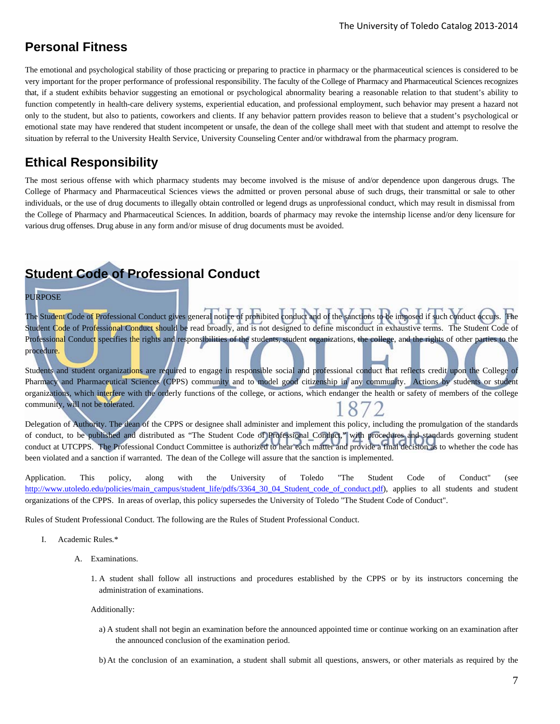## **Personal Fitness**

The emotional and psychological stability of those practicing or preparing to practice in pharmacy or the pharmaceutical sciences is considered to be very important for the proper performance of professional responsibility. The faculty of the College of Pharmacy and Pharmaceutical Sciences recognizes that, if a student exhibits behavior suggesting an emotional or psychological abnormality bearing a reasonable relation to that student's ability to function competently in health-care delivery systems, experiential education, and professional employment, such behavior may present a hazard not only to the student, but also to patients, coworkers and clients. If any behavior pattern provides reason to believe that a student's psychological or emotional state may have rendered that student incompetent or unsafe, the dean of the college shall meet with that student and attempt to resolve the situation by referral to the University Health Service, University Counseling Center and/or withdrawal from the pharmacy program.

## **Ethical Responsibility**

The most serious offense with which pharmacy students may become involved is the misuse of and/or dependence upon dangerous drugs. The College of Pharmacy and Pharmaceutical Sciences views the admitted or proven personal abuse of such drugs, their transmittal or sale to other individuals, or the use of drug documents to illegally obtain controlled or legend drugs as unprofessional conduct, which may result in dismissal from the College of Pharmacy and Pharmaceutical Sciences. In addition, boards of pharmacy may revoke the internship license and/or deny licensure for various drug offenses. Drug abuse in any form and/or misuse of drug documents must be avoided.

## **Student Code of Professional Conduct**

#### PURPOSE

The Student Code of Professional Conduct gives general notice of prohibited conduct and of the sanctions to be imposed if such conduct occurs. The Student Code of Professional Conduct should be read broadly, and is not designed to define misconduct in exhaustive terms. The Student Code of Professional Conduct specifies the rights and responsibilities of the students, student organizations, the college, and the rights of other parties to the procedure.

Students and student organizations are required to engage in responsible social and professional conduct that reflects credit upon the College of Pharmacy and Pharmaceutical Sciences (CPPS) community and to model good citizenship in any community. Actions by students or student organizations, which interfere with the orderly functions of the college, or actions, which endanger the health or safety of members of the college community, will not be tolerated.

Delegation of Authority. The dean of the CPPS or designee shall administer and implement this policy, including the promulgation of the standards of conduct, to be published and distributed as "The Student Code of Professional Conduct," with procedures and standards governing student conduct at UTCPPS. The Professional Conduct Committee is authorized to hear each matter and provide a final decision as to whether the code has been violated and a sanction if warranted. The dean of the College will assure that the sanction is implemented.

Application. This policy, along with the University of Toledo "The Student Code of Conduct" (see http://www.utoledo.edu/policies/main\_campus/student\_life/pdfs/3364\_30\_04\_Student\_code\_of\_conduct.pdf), applies to all students and student organizations of the CPPS. In areas of overlap, this policy supersedes the University of Toledo "The Student Code of Conduct".

Rules of Student Professional Conduct. The following are the Rules of Student Professional Conduct.

- I. Academic Rules.\*
	- A. Examinations.
		- 1. A student shall follow all instructions and procedures established by the CPPS or by its instructors concerning the administration of examinations.

Additionally:

- a) A student shall not begin an examination before the announced appointed time or continue working on an examination after the announced conclusion of the examination period.
- b) At the conclusion of an examination, a student shall submit all questions, answers, or other materials as required by the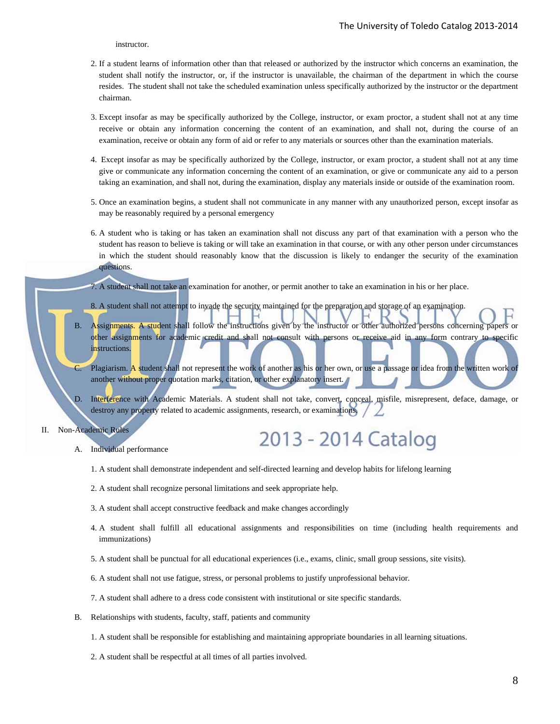instructor.

- 2. If a student learns of information other than that released or authorized by the instructor which concerns an examination, the student shall notify the instructor, or, if the instructor is unavailable, the chairman of the department in which the course resides. The student shall not take the scheduled examination unless specifically authorized by the instructor or the department chairman.
- 3. Except insofar as may be specifically authorized by the College, instructor, or exam proctor, a student shall not at any time receive or obtain any information concerning the content of an examination, and shall not, during the course of an examination, receive or obtain any form of aid or refer to any materials or sources other than the examination materials.
- 4. Except insofar as may be specifically authorized by the College, instructor, or exam proctor, a student shall not at any time give or communicate any information concerning the content of an examination, or give or communicate any aid to a person taking an examination, and shall not, during the examination, display any materials inside or outside of the examination room.
- 5. Once an examination begins, a student shall not communicate in any manner with any unauthorized person, except insofar as may be reasonably required by a personal emergency
- 6. A student who is taking or has taken an examination shall not discuss any part of that examination with a person who the student has reason to believe is taking or will take an examination in that course, or with any other person under circumstances in which the student should reasonably know that the discussion is likely to endanger the security of the examination questions.
- 7. A student shall not take an examination for another, or permit another to take an examination in his or her place.
- 8. A student shall not attempt to invade the security maintained for the preparation and storage of an examination.
- Assignments. A student shall follow the instructions given by the instructor or other authorized persons concerning papers or other assignments for academic credit and shall not consult with persons or receive aid in any form contrary to specific instructions.
- C. Plagiarism. A student shall not represent the work of another as his or her own, or use a passage or idea from the written work of another without proper quotation marks, citation, or other explanatory insert.
- D. Interference with Academic Materials. A student shall not take, convert, conceal, misfile, misrepresent, deface, damage, or destroy any property related to academic assignments, research, or examinations.
- II. Non-Academic Rules

2013 - 2014 Catalog

- A. Individual performance
	- 1. A student shall demonstrate independent and self-directed learning and develop habits for lifelong learning
	- 2. A student shall recognize personal limitations and seek appropriate help.
	- 3. A student shall accept constructive feedback and make changes accordingly
	- 4. A student shall fulfill all educational assignments and responsibilities on time (including health requirements and immunizations)
	- 5. A student shall be punctual for all educational experiences (i.e., exams, clinic, small group sessions, site visits).
	- 6. A student shall not use fatigue, stress, or personal problems to justify unprofessional behavior.
	- 7. A student shall adhere to a dress code consistent with institutional or site specific standards.
- B. Relationships with students, faculty, staff, patients and community
	- 1. A student shall be responsible for establishing and maintaining appropriate boundaries in all learning situations.
	- 2. A student shall be respectful at all times of all parties involved.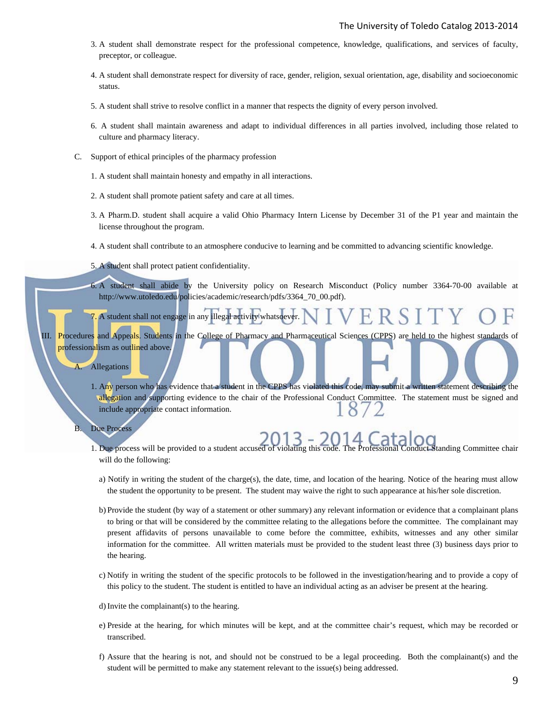- 3. A student shall demonstrate respect for the professional competence, knowledge, qualifications, and services of faculty, preceptor, or colleague.
- 4. A student shall demonstrate respect for diversity of race, gender, religion, sexual orientation, age, disability and socioeconomic status.
- 5. A student shall strive to resolve conflict in a manner that respects the dignity of every person involved.
- 6. A student shall maintain awareness and adapt to individual differences in all parties involved, including those related to culture and pharmacy literacy.
- C. Support of ethical principles of the pharmacy profession
	- 1. A student shall maintain honesty and empathy in all interactions.
	- 2. A student shall promote patient safety and care at all times.
	- 3. A Pharm.D. student shall acquire a valid Ohio Pharmacy Intern License by December 31 of the P1 year and maintain the license throughout the program.
	- 4. A student shall contribute to an atmosphere conducive to learning and be committed to advancing scientific knowledge.
	- 5. A student shall protect patient confidentiality.
	- 6. A student shall abide by the University policy on Research Misconduct (Policy number 3364-70-00 available at http://www.utoledo.edu/policies/academic/research/pdfs/3364\_70\_00.pdf).
	- 7. A student shall not engage in any illegal activity whatsoever.
- III. Procedures and Appeals. Students in the College of Pharmacy and Pharmaceutical Sciences (CPPS) are held to the highest standards of professionalism as outlined above.
	- A. Allegations
		- 1. Any person who has evidence that a student in the CPPS has violated this code, may submit a written statement describing the allegation and supporting evidence to the chair of the Professional Conduct Committee. The statement must be signed and 8 include appropriate contact information.
	- B. Due Process
		- 1. Due process will be provided to a student accused of violating this code. The Professional Conduct Standing Committee chair will do the following:
			- a) Notify in writing the student of the charge(s), the date, time, and location of the hearing. Notice of the hearing must allow the student the opportunity to be present. The student may waive the right to such appearance at his/her sole discretion.
			- b) Provide the student (by way of a statement or other summary) any relevant information or evidence that a complainant plans to bring or that will be considered by the committee relating to the allegations before the committee. The complainant may present affidavits of persons unavailable to come before the committee, exhibits, witnesses and any other similar information for the committee. All written materials must be provided to the student least three (3) business days prior to the hearing.
			- c) Notify in writing the student of the specific protocols to be followed in the investigation/hearing and to provide a copy of this policy to the student. The student is entitled to have an individual acting as an adviser be present at the hearing.
			- d) Invite the complainant(s) to the hearing.
			- e) Preside at the hearing, for which minutes will be kept, and at the committee chair's request, which may be recorded or transcribed.
			- f) Assure that the hearing is not, and should not be construed to be a legal proceeding. Both the complainant(s) and the student will be permitted to make any statement relevant to the issue(s) being addressed.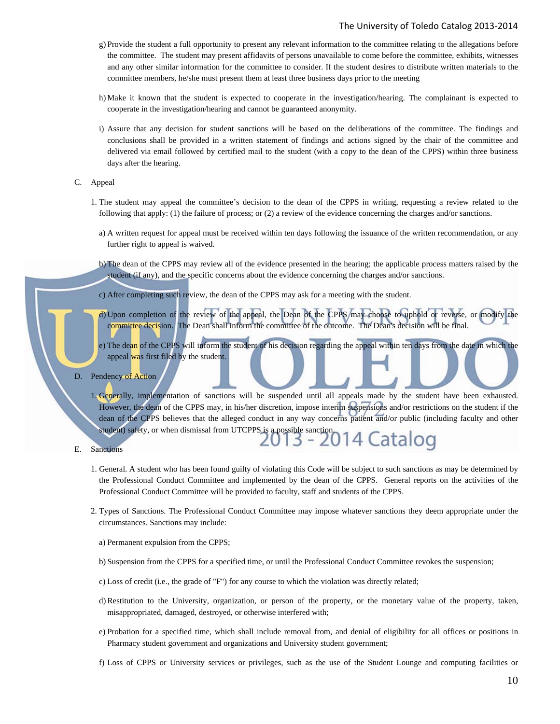#### The University of Toledo Catalog 2013‐2014

- g) Provide the student a full opportunity to present any relevant information to the committee relating to the allegations before the committee. The student may present affidavits of persons unavailable to come before the committee, exhibits, witnesses and any other similar information for the committee to consider. If the student desires to distribute written materials to the committee members, he/she must present them at least three business days prior to the meeting
- h) Make it known that the student is expected to cooperate in the investigation/hearing. The complainant is expected to cooperate in the investigation/hearing and cannot be guaranteed anonymity.
- i) Assure that any decision for student sanctions will be based on the deliberations of the committee. The findings and conclusions shall be provided in a written statement of findings and actions signed by the chair of the committee and delivered via email followed by certified mail to the student (with a copy to the dean of the CPPS) within three business days after the hearing.
- C. Appeal
	- 1. The student may appeal the committee's decision to the dean of the CPPS in writing, requesting a review related to the following that apply: (1) the failure of process; or (2) a review of the evidence concerning the charges and/or sanctions.
		- a) A written request for appeal must be received within ten days following the issuance of the written recommendation, or any further right to appeal is waived.
		- b) The dean of the CPPS may review all of the evidence presented in the hearing; the applicable process matters raised by the student (if any), and the specific concerns about the evidence concerning the charges and/or sanctions.
	- c) After completing such review, the dean of the CPPS may ask for a meeting with the student.
	- d) Upon completion of the review of the appeal, the Dean of the CPPS may choose to uphold or reverse, or modify the committee decision. The Dean shall inform the committee of the outcome. The Dean's decision will be final.
	- e) The dean of the CPPS will inform the student of his decision regarding the appeal within ten days from the date in which the appeal was first filed by the student.
- D. Pendency of Action
	- 1. Generally, implementation of sanctions will be suspended until all appeals made by the student have been exhausted. However, the dean of the CPPS may, in his/her discretion, impose interim suspensions and/or restrictions on the student if the dean of the CPPS believes that the alleged conduct in any way concerns patient and/or public (including faculty and other student) safety, or when dismissal from UTCPPS is a possible sanction.<br>2013 - 2014 Catalog
- E. Sanctions
	- 1. General. A student who has been found guilty of violating this Code will be subject to such sanctions as may be determined by the Professional Conduct Committee and implemented by the dean of the CPPS. General reports on the activities of the Professional Conduct Committee will be provided to faculty, staff and students of the CPPS.
	- 2. Types of Sanctions. The Professional Conduct Committee may impose whatever sanctions they deem appropriate under the circumstances. Sanctions may include:
		- a) Permanent expulsion from the CPPS;
		- b) Suspension from the CPPS for a specified time, or until the Professional Conduct Committee revokes the suspension;
		- c) Loss of credit (i.e., the grade of "F") for any course to which the violation was directly related;
		- d) Restitution to the University, organization, or person of the property, or the monetary value of the property, taken, misappropriated, damaged, destroyed, or otherwise interfered with;
		- e) Probation for a specified time, which shall include removal from, and denial of eligibility for all offices or positions in Pharmacy student government and organizations and University student government;
		- f) Loss of CPPS or University services or privileges, such as the use of the Student Lounge and computing facilities or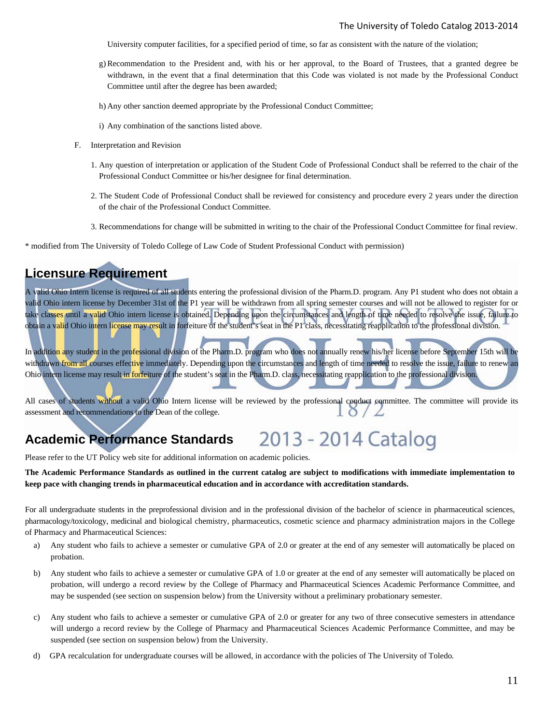University computer facilities, for a specified period of time, so far as consistent with the nature of the violation;

- g) Recommendation to the President and, with his or her approval, to the Board of Trustees, that a granted degree be withdrawn, in the event that a final determination that this Code was violated is not made by the Professional Conduct Committee until after the degree has been awarded;
- h) Any other sanction deemed appropriate by the Professional Conduct Committee;
- i) Any combination of the sanctions listed above.
- F. Interpretation and Revision
	- 1. Any question of interpretation or application of the Student Code of Professional Conduct shall be referred to the chair of the Professional Conduct Committee or his/her designee for final determination.
	- 2. The Student Code of Professional Conduct shall be reviewed for consistency and procedure every 2 years under the direction of the chair of the Professional Conduct Committee.
	- 3. Recommendations for change will be submitted in writing to the chair of the Professional Conduct Committee for final review.

\* modified from The University of Toledo College of Law Code of Student Professional Conduct with permission)

## **Licensure Requirement**

A valid Ohio Intern license is required of all students entering the professional division of the Pharm.D. program. Any P1 student who does not obtain a valid Ohio intern license by December 31st of the P1 year will be withdrawn from all spring semester courses and will not be allowed to register for or take classes until a valid Ohio intern license is obtained. Depending upon the circumstances and length of time needed to resolve the issue, failure to obtain a valid Ohio intern license may result in forfeiture of the student's seat in the P1 class, necessitating reapplication to the professional division.

In addition any student in the professional division of the Pharm.D. program who does not annually renew his/her license before September 15th will be withdrawn from all courses effective immediately. Depending upon the circumstances and length of time needed to resolve the issue, failure to renew an Ohio intern license may result in forfeiture of the student's seat in the Pharm.D. class, necessitating reapplication to the professional division.

All cases of students without a valid Ohio Intern license will be reviewed by the professional conduct committee. The committee will provide its assessment and recommendations to the Dean of the college.

#### 2013 - 2014 Catalog **Academic Performance Standards**

Please refer to the UT Policy web site for additional information on academic policies.

**The Academic Performance Standards as outlined in the current catalog are subject to modifications with immediate implementation to keep pace with changing trends in pharmaceutical education and in accordance with accreditation standards.**

For all undergraduate students in the preprofessional division and in the professional division of the bachelor of science in pharmaceutical sciences, pharmacology/toxicology, medicinal and biological chemistry, pharmaceutics, cosmetic science and pharmacy administration majors in the College of Pharmacy and Pharmaceutical Sciences:

- a) Any student who fails to achieve a semester or cumulative GPA of 2.0 or greater at the end of any semester will automatically be placed on probation.
- b) Any student who fails to achieve a semester or cumulative GPA of 1.0 or greater at the end of any semester will automatically be placed on probation, will undergo a record review by the College of Pharmacy and Pharmaceutical Sciences Academic Performance Committee, and may be suspended (see section on suspension below) from the University without a preliminary probationary semester.
- c) Any student who fails to achieve a semester or cumulative GPA of 2.0 or greater for any two of three consecutive semesters in attendance will undergo a record review by the College of Pharmacy and Pharmaceutical Sciences Academic Performance Committee, and may be suspended (see section on suspension below) from the University.
- d) GPA recalculation for undergraduate courses will be allowed, in accordance with the policies of The University of Toledo.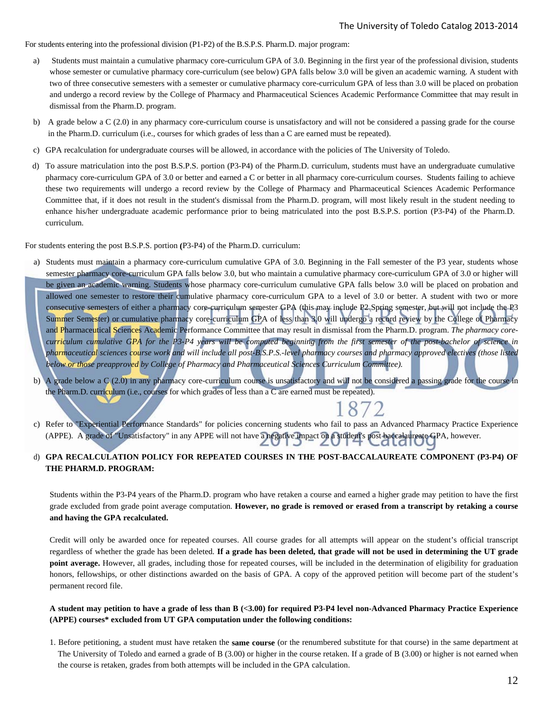For students entering into the professional division (P1-P2) of the B.S.P.S. Pharm.D. major program:

- a) Students must maintain a cumulative pharmacy core-curriculum GPA of 3.0. Beginning in the first year of the professional division, students whose semester or cumulative pharmacy core-curriculum (see below) GPA falls below 3.0 will be given an academic warning. A student with two of three consecutive semesters with a semester or cumulative pharmacy core-curriculum GPA of less than 3.0 will be placed on probation and undergo a record review by the College of Pharmacy and Pharmaceutical Sciences Academic Performance Committee that may result in dismissal from the Pharm.D. program.
- b) A grade below a C (2.0) in any pharmacy core-curriculum course is unsatisfactory and will not be considered a passing grade for the course in the Pharm.D. curriculum (i.e., courses for which grades of less than a C are earned must be repeated).
- c) GPA recalculation for undergraduate courses will be allowed, in accordance with the policies of The University of Toledo.
- d) To assure matriculation into the post B.S.P.S. portion (P3-P4) of the Pharm.D. curriculum, students must have an undergraduate cumulative pharmacy core-curriculum GPA of 3.0 or better and earned a C or better in all pharmacy core-curriculum courses. Students failing to achieve these two requirements will undergo a record review by the College of Pharmacy and Pharmaceutical Sciences Academic Performance Committee that, if it does not result in the student's dismissal from the Pharm.D. program, will most likely result in the student needing to enhance his/her undergraduate academic performance prior to being matriculated into the post B.S.P.S. portion (P3-P4) of the Pharm.D. curriculum.

For students entering the post B.S.P.S. portion **(**P3-P4) of the Pharm.D. curriculum:

- a) Students must maintain a pharmacy core-curriculum cumulative GPA of 3.0. Beginning in the Fall semester of the P3 year, students whose semester pharmacy core-curriculum GPA falls below 3.0, but who maintain a cumulative pharmacy core-curriculum GPA of 3.0 or higher will be given an academic warning. Students whose pharmacy core-curriculum cumulative GPA falls below 3.0 will be placed on probation and allowed one semester to restore their cumulative pharmacy core-curriculum GPA to a level of 3.0 or better. A student with two or more consecutive semesters of either a pharmacy core-curriculum semester GPA (this may include P2 Spring semester, but will not include the P3 Summer Semester) or cumulative pharmacy core-curriculum GPA of less than 3.0 will undergo a record review by the College of Pharmacy and Pharmaceutical Sciences Academic Performance Committee that may result in dismissal from the Pharm.D. program. *The pharmacy corecurriculum cumulative GPA for the P3-P4 years will be computed beginning from the first semester of the post-bachelor of science in pharmaceutical sciences course work and will include all post-B.S.P.S.-level pharmacy courses and pharmacy approved electives (those listed below or those preapproved by College of Pharmacy and Pharmaceutical Sciences Curriculum Committee).*
- b) A grade below a C (2.0) in any pharmacy core-curriculum course is unsatisfactory and will not be considered a passing grade for the course in the Pharm.D. curriculum (i.e., courses for which grades of less than a C are earned must be repeated).

c) Refer to "Experiential Performance Standards" for policies concerning students who fail to pass an Advanced Pharmacy Practice Experience (APPE). A grade of "Unsatisfactory" in any APPE will not have a negative impact on a student's post baccalaureate GPA, however.

#### d) **GPA RECALCULATION POLICY FOR REPEATED COURSES IN THE POST-BACCALAUREATE COMPONENT (P3-P4) OF THE PHARM.D. PROGRAM:**

Students within the P3-P4 years of the Pharm.D. program who have retaken a course and earned a higher grade may petition to have the first grade excluded from grade point average computation. **However, no grade is removed or erased from a transcript by retaking a course and having the GPA recalculated.** 

Credit will only be awarded once for repeated courses. All course grades for all attempts will appear on the student's official transcript regardless of whether the grade has been deleted. **If a grade has been deleted, that grade will not be used in determining the UT grade point average.** However, all grades, including those for repeated courses, will be included in the determination of eligibility for graduation honors, fellowships, or other distinctions awarded on the basis of GPA. A copy of the approved petition will become part of the student's permanent record file.

#### **A student may petition to have a grade of less than B (<3.00) for required P3-P4 level non-Advanced Pharmacy Practice Experience (APPE) courses\* excluded from UT GPA computation under the following conditions:**

1. Before petitioning, a student must have retaken the **same course** (or the renumbered substitute for that course) in the same department at The University of Toledo and earned a grade of B (3.00) or higher in the course retaken. If a grade of B (3.00) or higher is not earned when the course is retaken, grades from both attempts will be included in the GPA calculation.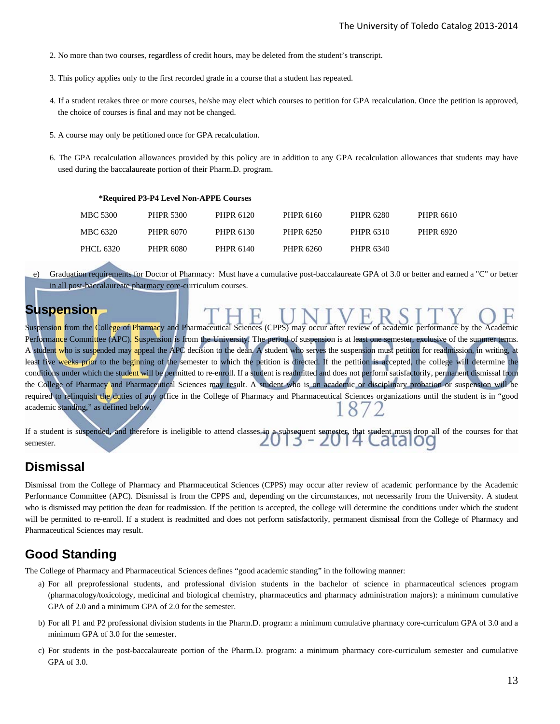- 2. No more than two courses, regardless of credit hours, may be deleted from the student's transcript.
- 3. This policy applies only to the first recorded grade in a course that a student has repeated.
- 4. If a student retakes three or more courses, he/she may elect which courses to petition for GPA recalculation. Once the petition is approved, the choice of courses is final and may not be changed.
- 5. A course may only be petitioned once for GPA recalculation.

**\*Required P3-P4 Level Non-APPE Courses** 

6. The GPA recalculation allowances provided by this policy are in addition to any GPA recalculation allowances that students may have used during the baccalaureate portion of their Pharm.D. program.

| $\cdot$ Required F $\sigma$ -F $\theta$ Lever Non-AFF E Courses |           |           |           |           |           |
|-----------------------------------------------------------------|-----------|-----------|-----------|-----------|-----------|
| MBC 5300                                                        | PHPR 5300 | PHPR 6120 | PHPR 6160 | PHPR 6280 | PHPR 6610 |
| MBC 6320                                                        | PHPR 6070 | PHPR 6130 | PHPR 6250 | PHPR 6310 | PHPR 6920 |
| PHCL 6320                                                       | PHPR 6080 | PHPR 6140 | PHPR 6260 | PHPR 6340 |           |

e) Graduation requirements for Doctor of Pharmacy: Must have a cumulative post-baccalaureate GPA of 3.0 or better and earned a "C" or better in all post-baccalaureate pharmacy core-curriculum courses.

## **Suspension**

Suspension from the College of Pharmacy and Pharmaceutical Sciences (CPPS) may occur after review of academic performance by the Academic Performance Committee (APC). Suspension is from the University. The period of suspension is at least one semester, exclusive of the summer terms. A student who is suspended may appeal the APC decision to the dean. A student who serves the suspension must petition for readmission, in writing, at least five weeks prior to the beginning of the semester to which the petition is directed. If the petition is accepted, the college will determine the conditions under which the student will be permitted to re-enroll. If a student is readmitted and does not perform satisfactorily, permanent dismissal from the College of Pharmacy and Pharmaceutical Sciences may result. A student who is on academic or disciplinary probation or suspension will be required to relinquish the duties of any office in the College of Pharmacy and Pharmaceutical Sciences organizations until the student is in "good academic standing," as defined below.

```
If a student is suspended, and therefore is ineligible to attend classes in a subsequent semester, that student must drop all of the courses for that 
semester.
```
## **Dismissal**

Dismissal from the College of Pharmacy and Pharmaceutical Sciences (CPPS) may occur after review of academic performance by the Academic Performance Committee (APC). Dismissal is from the CPPS and, depending on the circumstances, not necessarily from the University. A student who is dismissed may petition the dean for readmission. If the petition is accepted, the college will determine the conditions under which the student will be permitted to re-enroll. If a student is readmitted and does not perform satisfactorily, permanent dismissal from the College of Pharmacy and Pharmaceutical Sciences may result.

## **Good Standing**

The College of Pharmacy and Pharmaceutical Sciences defines "good academic standing" in the following manner:

- a) For all preprofessional students, and professional division students in the bachelor of science in pharmaceutical sciences program (pharmacology/toxicology, medicinal and biological chemistry, pharmaceutics and pharmacy administration majors): a minimum cumulative GPA of 2.0 and a minimum GPA of 2.0 for the semester.
- b) For all P1 and P2 professional division students in the Pharm.D. program: a minimum cumulative pharmacy core-curriculum GPA of 3.0 and a minimum GPA of 3.0 for the semester.
- c) For students in the post-baccalaureate portion of the Pharm.D. program: a minimum pharmacy core-curriculum semester and cumulative GPA of 3.0.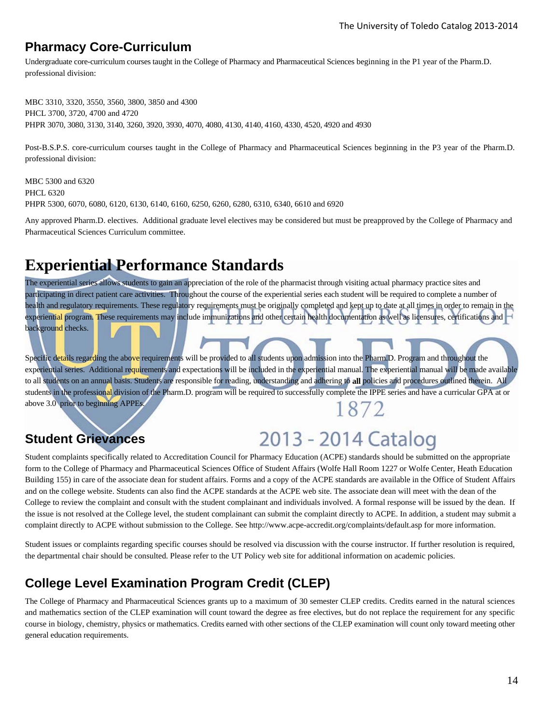## **Pharmacy Core-Curriculum**

Undergraduate core-curriculum courses taught in the College of Pharmacy and Pharmaceutical Sciences beginning in the P1 year of the Pharm.D. professional division:

MBC 3310, 3320, 3550, 3560, 3800, 3850 and 4300 PHCL 3700, 3720, 4700 and 4720 PHPR 3070, 3080, 3130, 3140, 3260, 3920, 3930, 4070, 4080, 4130, 4140, 4160, 4330, 4520, 4920 and 4930

Post-B.S.P.S. core-curriculum courses taught in the College of Pharmacy and Pharmaceutical Sciences beginning in the P3 year of the Pharm.D. professional division:

MBC 5300 and 6320 PHCL 6320 PHPR 5300, 6070, 6080, 6120, 6130, 6140, 6160, 6250, 6260, 6280, 6310, 6340, 6610 and 6920

Any approved Pharm.D. electives. Additional graduate level electives may be considered but must be preapproved by the College of Pharmacy and Pharmaceutical Sciences Curriculum committee.

## **Experiential Performance Standards**

The experiential series allows students to gain an appreciation of the role of the pharmacist through visiting actual pharmacy practice sites and participating in direct patient care activities. Throughout the course of the experiential series each student will be required to complete a number of health and regulatory requirements. These regulatory requirements must be originally completed and kept up to date at all times in order to remain in the experiential program. These requirements may include immunizations and other certain health documentation as well as licensures, certifications and background checks.

Specific details regarding the above requirements will be provided to all students upon admission into the Pharm.D. Program and throughout the experiential series. Additional requirements and expectations will be included in the experiential manual. The experiential manual will be made available to all students on an annual basis. Students are responsible for reading, understanding and adhering to **all** policies and procedures outlined therein. All students in the professional division of the Pharm.D. program will be required to successfully complete the IPPE series and have a curricular GPA at or above 3.0 prior to beginning APPEs. 1872

## **Student Grievances**

# 2013 - 2014 Catalog

Student complaints specifically related to Accreditation Council for Pharmacy Education (ACPE) standards should be submitted on the appropriate form to the College of Pharmacy and Pharmaceutical Sciences Office of Student Affairs (Wolfe Hall Room 1227 or Wolfe Center, Heath Education Building 155) in care of the associate dean for student affairs. Forms and a copy of the ACPE standards are available in the Office of Student Affairs and on the college website. Students can also find the ACPE standards at the ACPE web site. The associate dean will meet with the dean of the College to review the complaint and consult with the student complainant and individuals involved. A formal response will be issued by the dean. If the issue is not resolved at the College level, the student complainant can submit the complaint directly to ACPE. In addition, a student may submit a complaint directly to ACPE without submission to the College. See http://www.acpe-accredit.org/complaints/default.asp for more information.

Student issues or complaints regarding specific courses should be resolved via discussion with the course instructor. If further resolution is required, the departmental chair should be consulted. Please refer to the UT Policy web site for additional information on academic policies.

## **College Level Examination Program Credit (CLEP)**

The College of Pharmacy and Pharmaceutical Sciences grants up to a maximum of 30 semester CLEP credits. Credits earned in the natural sciences and mathematics section of the CLEP examination will count toward the degree as free electives, but do not replace the requirement for any specific course in biology, chemistry, physics or mathematics. Credits earned with other sections of the CLEP examination will count only toward meeting other general education requirements.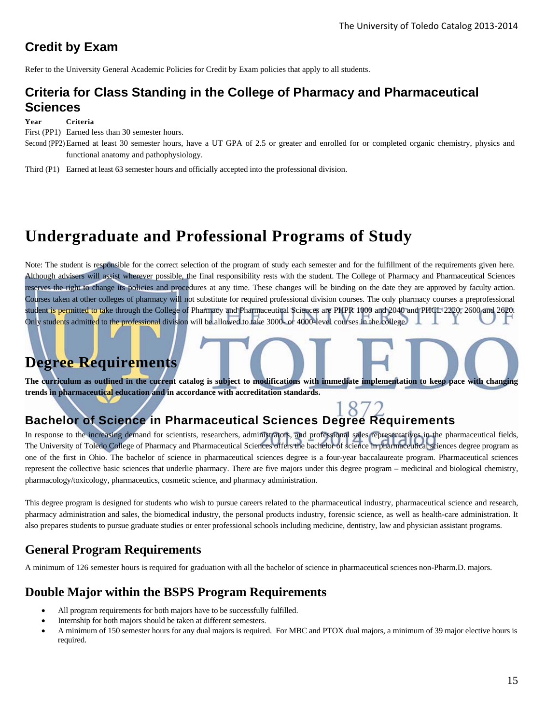## **Credit by Exam**

Refer to the University General Academic Policies for Credit by Exam policies that apply to all students.

## **Criteria for Class Standing in the College of Pharmacy and Pharmaceutical Sciences**

**Year Criteria** 

First (PP1) Earned less than 30 semester hours.

- Second (PP2) Earned at least 30 semester hours, have a UT GPA of 2.5 or greater and enrolled for or completed organic chemistry, physics and functional anatomy and pathophysiology.
- Third (P1) Earned at least 63 semester hours and officially accepted into the professional division.

## **Undergraduate and Professional Programs of Study**

Note: The student is responsible for the correct selection of the program of study each semester and for the fulfillment of the requirements given here. Although advisers will assist wherever possible, the final responsibility rests with the student. The College of Pharmacy and Pharmaceutical Sciences reserves the right to change its policies and procedures at any time. These changes will be binding on the date they are approved by faculty action. Courses taken at other colleges of pharmacy will not substitute for required professional division courses. The only pharmacy courses a preprofessional student is permitted to take through the College of Pharmacy and Pharmaceutical Sciences are PHPR 1000 and 2040 and PHCL 2220, 2600 and 2620. Only students admitted to the professional division will be allowed to take 3000- or 4000-level courses in the college.

## **Degree Requirements**

**The curriculum as outlined in the current catalog is subject to modifications with immediate implementation to keep pace with changing trends in pharmaceutical education and in accordance with accreditation standards.** 

# **Bachelor of Science in Pharmaceutical Sciences Degree Requirements**

In response to the increasing demand for scientists, researchers, administrators, and professional sales representatives in the pharmaceutical fields, The University of Toledo College of Pharmacy and Pharmaceutical Sciences offers the bachelor of science in pharmaceutical sciences degree program as one of the first in Ohio. The bachelor of science in pharmaceutical sciences degree is a four-year baccalaureate program. Pharmaceutical sciences represent the collective basic sciences that underlie pharmacy. There are five majors under this degree program – medicinal and biological chemistry, pharmacology/toxicology, pharmaceutics, cosmetic science, and pharmacy administration.

This degree program is designed for students who wish to pursue careers related to the pharmaceutical industry, pharmaceutical science and research, pharmacy administration and sales, the biomedical industry, the personal products industry, forensic science, as well as health-care administration. It also prepares students to pursue graduate studies or enter professional schools including medicine, dentistry, law and physician assistant programs.

## **General Program Requirements**

A minimum of 126 semester hours is required for graduation with all the bachelor of science in pharmaceutical sciences non-Pharm.D. majors.

## **Double Major within the BSPS Program Requirements**

- All program requirements for both majors have to be successfully fulfilled.
- Internship for both majors should be taken at different semesters.
- A minimum of 150 semester hours for any dual majors is required. For MBC and PTOX dual majors, a minimum of 39 major elective hours is required.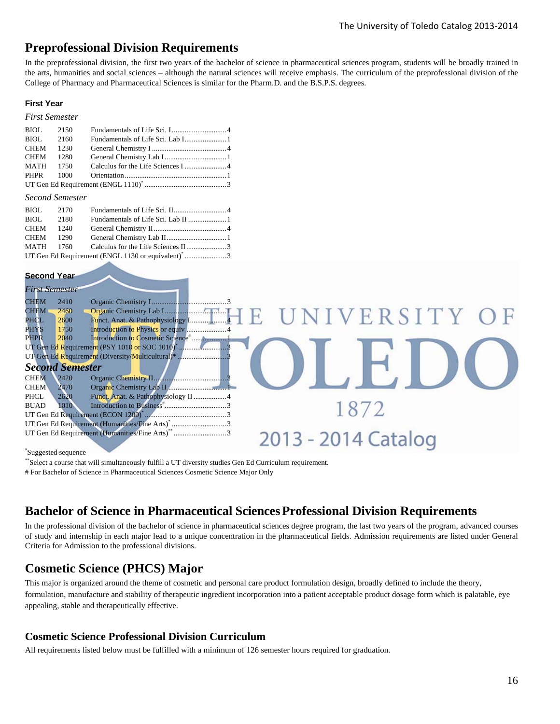## **Preprofessional Division Requirements**

In the preprofessional division, the first two years of the bachelor of science in pharmaceutical sciences program, students will be broadly trained in the arts, humanities and social sciences – although the natural sciences will receive emphasis. The curriculum of the preprofessional division of the College of Pharmacy and Pharmaceutical Sciences is similar for the Pharm.D. and the B.S.P.S. degrees.

#### **First Year**

#### *First Semester*

| BIOL 2150 |  |  |  |
|-----------|--|--|--|
| BIOL 2160 |  |  |  |
| CHEM 1230 |  |  |  |
| CHEM 1280 |  |  |  |
| MATH 1750 |  |  |  |
|           |  |  |  |
|           |  |  |  |

#### *Second Semester*

| BIOL 2170                                                      |      |  |  |  |
|----------------------------------------------------------------|------|--|--|--|
| <b>BIOL</b>                                                    | 2180 |  |  |  |
| CHEM 1240                                                      |      |  |  |  |
| CHEM 1290                                                      |      |  |  |  |
|                                                                |      |  |  |  |
| UT Gen Ed Requirement (ENGL 1130 or equivalent) <sup>*</sup> 3 |      |  |  |  |

#### **Second Year**

| <b>First Semester</b> |                        |                                                             |                     |  |
|-----------------------|------------------------|-------------------------------------------------------------|---------------------|--|
| <b>CHEM</b>           | 2410                   |                                                             |                     |  |
| CHEM                  | 2460                   |                                                             |                     |  |
| PHCL                  | 2600                   |                                                             | UNIVERSITY OF       |  |
| <b>PHYS</b>           | 1750                   | Introduction to Physics or equiv 4                          |                     |  |
| <b>PHPR</b>           | 2040                   |                                                             |                     |  |
|                       |                        |                                                             |                     |  |
|                       |                        | UT Gen Ed Requirement (Diversity/Multicultural)* 3          |                     |  |
|                       | <b>Second Semester</b> |                                                             |                     |  |
| <b>CHEM</b>           | 2420                   |                                                             |                     |  |
| <b>CHEM</b>           | 2470                   |                                                             |                     |  |
| PHCL                  | 2620                   |                                                             |                     |  |
| <b>BUAD</b>           | 1010                   |                                                             |                     |  |
|                       |                        |                                                             |                     |  |
|                       |                        | UT Gen Ed Requirement (Humanities/Fine Arts) <sup>*</sup> 3 |                     |  |
|                       |                        | UT Gen Ed Requirement (Humanities/Fine Arts)** 3            | 2013 - 2014 Catalog |  |
|                       |                        |                                                             |                     |  |

#### \* Suggested sequence

\*\*Select a course that will simultaneously fulfill a UT diversity studies Gen Ed Curriculum requirement.

# For Bachelor of Science in Pharmaceutical Sciences Cosmetic Science Major Only

## **Bachelor of Science in Pharmaceutical SciencesProfessional Division Requirements**

In the professional division of the bachelor of science in pharmaceutical sciences degree program, the last two years of the program, advanced courses of study and internship in each major lead to a unique concentration in the pharmaceutical fields. Admission requirements are listed under General Criteria for Admission to the professional divisions.

## **Cosmetic Science (PHCS) Major**

This major is organized around the theme of cosmetic and personal care product formulation design, broadly defined to include the theory, formulation, manufacture and stability of therapeutic ingredient incorporation into a patient acceptable product dosage form which is palatable, eye appealing, stable and therapeutically effective.

#### **Cosmetic Science Professional Division Curriculum**

All requirements listed below must be fulfilled with a minimum of 126 semester hours required for graduation.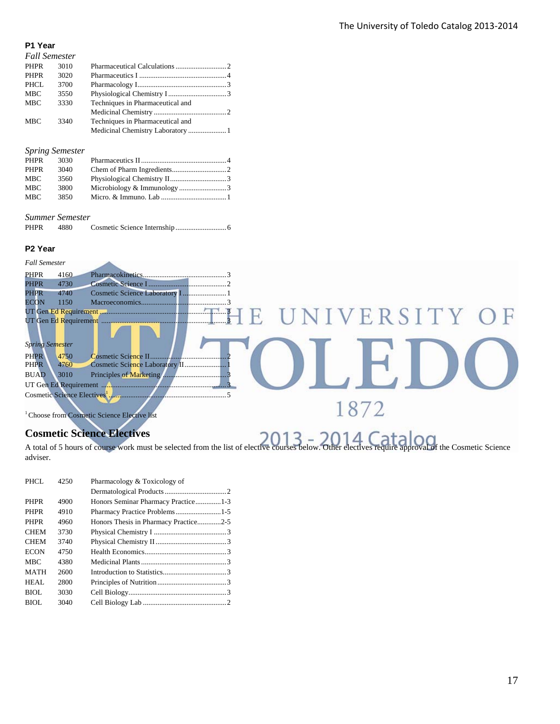#### **P1 Year**

| <b>Fall Semester</b> |      |                                  |  |
|----------------------|------|----------------------------------|--|
| <b>PHPR</b>          | 3010 |                                  |  |
| <b>PHPR</b>          | 3020 |                                  |  |
| <b>PHCL</b>          | 3700 |                                  |  |
| <b>MBC</b>           | 3550 |                                  |  |
| <b>MBC</b>           | 3330 | Techniques in Pharmaceutical and |  |
|                      |      |                                  |  |
| <b>MBC</b>           | 3340 | Techniques in Pharmaceutical and |  |
|                      |      |                                  |  |

#### *Spring Semester*

| PHPR       | 3030 |  |
|------------|------|--|
| PHPR       | 3040 |  |
| MBC        | 3560 |  |
| <b>MBC</b> | 3800 |  |
| MBC        | 3850 |  |
|            |      |  |

#### *Summer Semester*

| <b>PHPR</b> | 4880 |  |  |
|-------------|------|--|--|
|-------------|------|--|--|

#### **P2 Year**

| <b>Fall Semester</b>                                    |
|---------------------------------------------------------|
| <b>PHPR</b><br>4160                                     |
| <b>PHPR</b><br>4730                                     |
| <b>PHPR</b><br>4740                                     |
| ECON<br>1150                                            |
| UNIVERSITY O                                            |
|                                                         |
|                                                         |
| Spring Semester                                         |
| <b>PHPR</b><br>4750                                     |
| <b>PHPR</b><br>4760                                     |
| <b>BUAD</b><br>3010                                     |
|                                                         |
|                                                         |
|                                                         |
|                                                         |
| <sup>1</sup> Choose from Cosmetic Science Elective list |
|                                                         |

## **Cosmetic Science Electives**

Cosmetic Science Electives<br>A total of 5 hours of course work must be selected from the list of elective courses below. Other electives require approval of the Cosmetic Science adviser.

| PHCL        | 4250 | Pharmacology & Toxicology of          |  |
|-------------|------|---------------------------------------|--|
|             |      |                                       |  |
| <b>PHPR</b> | 4900 | Honors Seminar Pharmacy Practice1-3   |  |
| <b>PHPR</b> | 4910 |                                       |  |
| <b>PHPR</b> | 4960 | Honors Thesis in Pharmacy Practice2-5 |  |
| <b>CHEM</b> | 3730 |                                       |  |
| <b>CHEM</b> | 3740 |                                       |  |
| <b>ECON</b> | 4750 |                                       |  |
| <b>MBC</b>  | 4380 |                                       |  |
| <b>MATH</b> | 2600 |                                       |  |
| HEAL        | 2800 |                                       |  |
| BIOL        | 3030 |                                       |  |
| BIOL        | 3040 |                                       |  |
|             |      |                                       |  |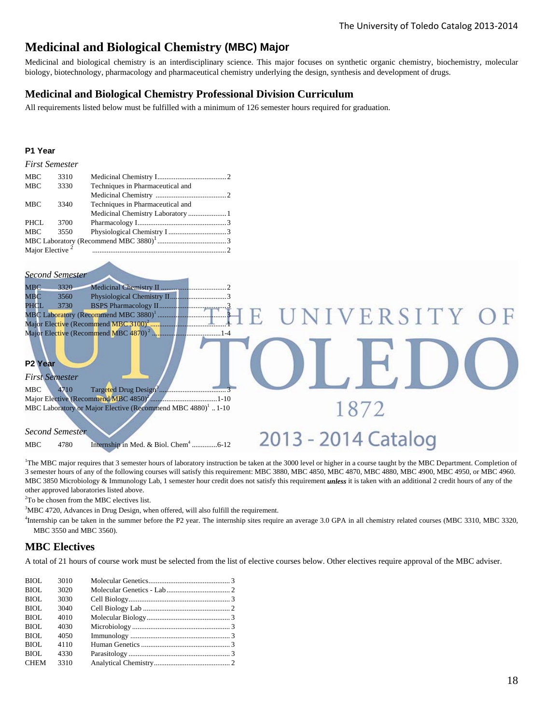## **Medicinal and Biological Chemistry (MBC) Major**

Medicinal and biological chemistry is an interdisciplinary science. This major focuses on synthetic organic chemistry, biochemistry, molecular biology, biotechnology, pharmacology and pharmaceutical chemistry underlying the design, synthesis and development of drugs.

#### **Medicinal and Biological Chemistry Professional Division Curriculum**

All requirements listed below must be fulfilled with a minimum of 126 semester hours required for graduation.

#### **P1 Year**

| <b>MBC</b>                  | 3310 |                                  |  |
|-----------------------------|------|----------------------------------|--|
| <b>MBC</b>                  | 3330 | Techniques in Pharmaceutical and |  |
|                             |      |                                  |  |
| <b>MBC</b>                  | 3340 | Techniques in Pharmaceutical and |  |
|                             |      |                                  |  |
| PHCL                        | 3700 |                                  |  |
| <b>MBC</b>                  | 3550 |                                  |  |
|                             |      |                                  |  |
| Major Elective <sup>2</sup> |      |                                  |  |

#### *Second Semester*

| <b>MBC</b><br>3320                                                      |                     |
|-------------------------------------------------------------------------|---------------------|
| $_{\rm MBC}$<br>3560                                                    |                     |
| 3730<br>PHCL                                                            |                     |
|                                                                         | UNIVERSITY OF       |
|                                                                         |                     |
|                                                                         |                     |
| P2 Year<br><b>First Semester</b><br>MBC<br>4710                         |                     |
|                                                                         |                     |
| MBC Laboratory or Major Elective (Recommend MBC 4880) <sup>1</sup> 1-10 |                     |
| <b>Second Semester</b>                                                  |                     |
| 4780<br>MBC                                                             | 2013 - 2014 Catalog |

<sup>1</sup>The MBC major requires that 3 semester hours of laboratory instruction be taken at the 3000 level or higher in a course taught by the MBC Department. Completion of 3 semester hours of any of the following courses will satisfy this requirement: MBC 3880, MBC 4850, MBC 4870, MBC 4880, MBC 4900, MBC 4950, or MBC 4960. MBC 3850 Microbiology & Immunology Lab, 1 semester hour credit does not satisfy this requirement *unless* it is taken with an additional 2 credit hours of any of the other approved laboratories listed above.

<sup>2</sup>To be chosen from the MBC electives list.

 ${}^{3}$ MBC 4720, Advances in Drug Design, when offered, will also fulfill the requirement.<br> ${}^{4}$ Internship can be taken in the summar before the P2 year. The internship sites required

Internship can be taken in the summer before the P2 year. The internship sites require an average 3.0 GPA in all chemistry related courses (MBC 3310, MBC 3320, MBC 3550 and MBC 3560).

#### **MBC Electives**

A total of 21 hours of course work must be selected from the list of elective courses below. Other electives require approval of the MBC adviser.

| BIOL        | 3010 |  |
|-------------|------|--|
| BIOL        | 3020 |  |
| BIOL        | 3030 |  |
| <b>BIOL</b> | 3040 |  |
| BIOL        | 4010 |  |
| BIOL        | 4030 |  |
| BIOL        | 4050 |  |
| BIOL        | 4110 |  |
| <b>BIOL</b> | 4330 |  |
| <b>CHEM</b> | 3310 |  |
|             |      |  |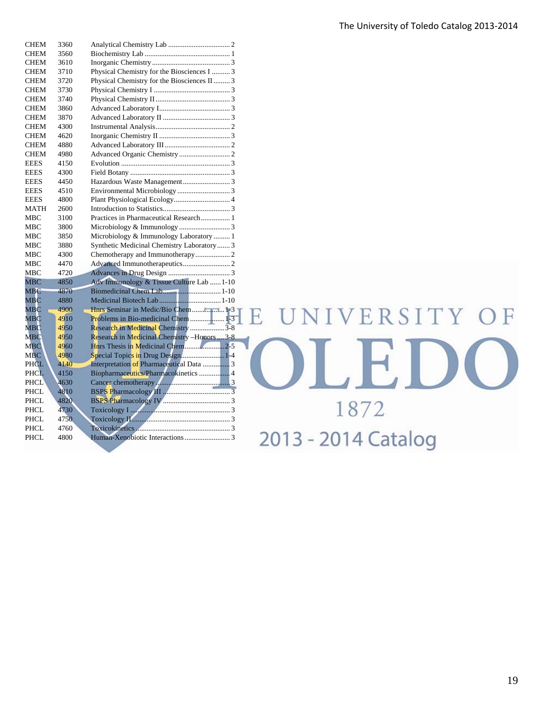| <b>CHEM</b>   | 3360 |                                                                                          |
|---------------|------|------------------------------------------------------------------------------------------|
| <b>CHEM</b>   | 3560 |                                                                                          |
| <b>CHEM</b>   | 3610 |                                                                                          |
| <b>CHEM</b>   | 3710 | Physical Chemistry for the Biosciences I  3                                              |
| <b>CHEM</b>   | 3720 | Physical Chemistry for the Biosciences II  3                                             |
| <b>CHEM</b>   | 3730 |                                                                                          |
| <b>CHEM</b>   | 3740 |                                                                                          |
| <b>CHEM</b>   | 3860 |                                                                                          |
| <b>CHEM</b>   | 3870 |                                                                                          |
| <b>CHEM</b>   | 4300 |                                                                                          |
| <b>CHEM</b>   | 4620 |                                                                                          |
| <b>CHEM</b>   | 4880 |                                                                                          |
| <b>CHEM</b>   | 4980 |                                                                                          |
| <b>EEES</b>   | 4150 |                                                                                          |
| <b>EEES</b>   | 4300 |                                                                                          |
| <b>EEES</b>   | 4450 |                                                                                          |
| <b>EEES</b>   | 4510 |                                                                                          |
| <b>EEES</b>   | 4800 |                                                                                          |
| <b>MATH</b>   | 2600 |                                                                                          |
| <b>MBC</b>    | 3100 | Practices in Pharmaceutical Research 1                                                   |
| <b>MBC</b>    | 3800 |                                                                                          |
| MBC           | 3850 | Microbiology & Immunology Laboratory  1                                                  |
| <b>MBC</b>    | 3880 | Synthetic Medicinal Chemistry Laboratory  3                                              |
| <b>MBC</b>    | 4300 |                                                                                          |
| <b>MBC</b>    | 4470 |                                                                                          |
| MBC           | 4720 |                                                                                          |
| <b>MBC</b>    | 4850 | Adv Immunology & Tissue Culture Lab  1-10                                                |
| <b>MBC</b>    | 4870 |                                                                                          |
| <b>MBC</b>    | 4880 |                                                                                          |
| MBC           | 4900 |                                                                                          |
| $_{\rm{MBC}}$ | 4910 |                                                                                          |
| <b>MBC</b>    | 4950 | Research in Medicinal Chemistry 3-8                                                      |
| <b>MBC</b>    | 4950 | Research in Medicinal Chemistry -Honors  3-8                                             |
| <b>MBC</b>    | 4960 |                                                                                          |
| <b>MBC</b>    | 4980 | Special Topics in Drug Design1-4                                                         |
| PHCL          | 4140 |                                                                                          |
| <b>PHCL</b>   | 4150 |                                                                                          |
| <b>PHCL</b>   | 4630 |                                                                                          |
| <b>PHCL</b>   | 4810 |                                                                                          |
| <b>PHCL</b>   | 4820 |                                                                                          |
| PHCL          | 4730 | $Toxicology I$ $\ldots$ $\ldots$ $\ldots$ $\ldots$ $\ldots$ $\ldots$ $\ldots$ $\ldots$ 3 |
| <b>PHCL</b>   | 4750 |                                                                                          |
| PHCL          | 4760 |                                                                                          |
| <b>PHCL</b>   | 4800 |                                                                                          |
|               |      |                                                                                          |

# OLED 1872 2013 - 2014 Catalog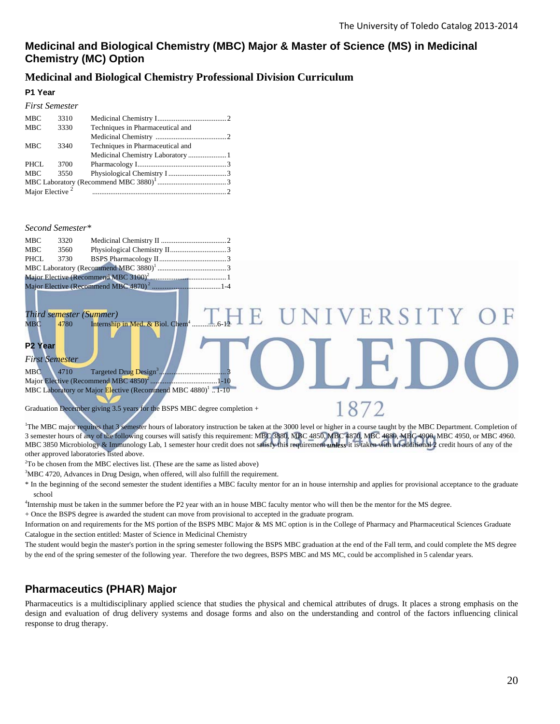R S

 $H$ 

1872

#### **Medicinal and Biological Chemistry (MBC) Major & Master of Science (MS) in Medicinal Chemistry (MC) Option**

#### **Medicinal and Biological Chemistry Professional Division Curriculum**

#### **P1 Year**

| <b>First Semester</b>       |      |                                  |  |
|-----------------------------|------|----------------------------------|--|
| MBC                         | 3310 |                                  |  |
| <b>MBC</b>                  | 3330 | Techniques in Pharmaceutical and |  |
|                             |      |                                  |  |
| <b>MBC</b>                  | 3340 | Techniques in Pharmaceutical and |  |
|                             |      |                                  |  |
| PHCL                        | 3700 |                                  |  |
| <b>MBC</b>                  | 3550 |                                  |  |
|                             |      |                                  |  |
| Major Elective <sup>2</sup> |      |                                  |  |

#### *Second Semester\**

| MBC | 3320 |  |  |  |
|-----|------|--|--|--|
| MBC | 3560 |  |  |  |
|     |      |  |  |  |
|     |      |  |  |  |
|     |      |  |  |  |
|     |      |  |  |  |

#### *Third semester (Summer)*  MBC 4780 Internship in Med. & Biol. Chem .............. 6-12

#### **P2 Year**

*First Semester* 

MBC 4710 Targeted Drug Design<sup>3</sup>  *.....................................* 3 Major Elective (Recommend MBC  $4850^2$ . ..................................... 1-10 MBC Laboratory or Major Elective (Recommend MBC 4880)<sup>1</sup> ..1-10

Graduation December giving 3.5 years for the BSPS MBC degree completion +

<sup>1</sup>The MBC major requires that 3 semester hours of laboratory instruction be taken at the 3000 level or higher in a course taught by the MBC Department. Completion of 3 semester hours of any of the following courses will satisfy this requirement: MBC 3880, MBC 4850, MBC 4870, MBC 4880, MBC 4900, MBC 4950, or MBC 4960. MBC 3850 Microbiology & Immunology Lab, 1 semester hour credit does not satisfy this requirement *unless* it is taken with an additional 2 credit hours of any of the other approved laboratories listed above.

<sup>2</sup>To be chosen from the MBC electives list. (These are the same as listed above)<sup>3</sup>MBC 4720, A dynamic Deve Decise, when offered will also fail<sup>511</sup> the required

<sup>3</sup>MBC 4720, Advances in Drug Design, when offered, will also fulfill the requirement.

\* In the beginning of the second semester the student identifies a MBC faculty mentor for an in house internship and applies for provisional acceptance to the graduate

school<br><sup>4</sup>Internship must be taken in the summer before the P2 year with an in house MBC faculty mentor who will then be the mentor for the MS degree.

+ Once the BSPS degree is awarded the student can move from provisional to accepted in the graduate program.

Information on and requirements for the MS portion of the BSPS MBC Major & MS MC option is in the College of Pharmacy and Pharmaceutical Sciences Graduate Catalogue in the section entitled: Master of Science in Medicinal Chemistry

The student would begin the master's portion in the spring semester following the BSPS MBC graduation at the end of the Fall term, and could complete the MS degree by the end of the spring semester of the following year. Therefore the two degrees, BSPS MBC and MS MC, could be accomplished in 5 calendar years.

## **Pharmaceutics (PHAR) Major**

Pharmaceutics is a multidisciplinary applied science that studies the physical and chemical attributes of drugs. It places a strong emphasis on the design and evaluation of drug delivery systems and dosage forms and also on the understanding and control of the factors influencing clinical response to drug therapy.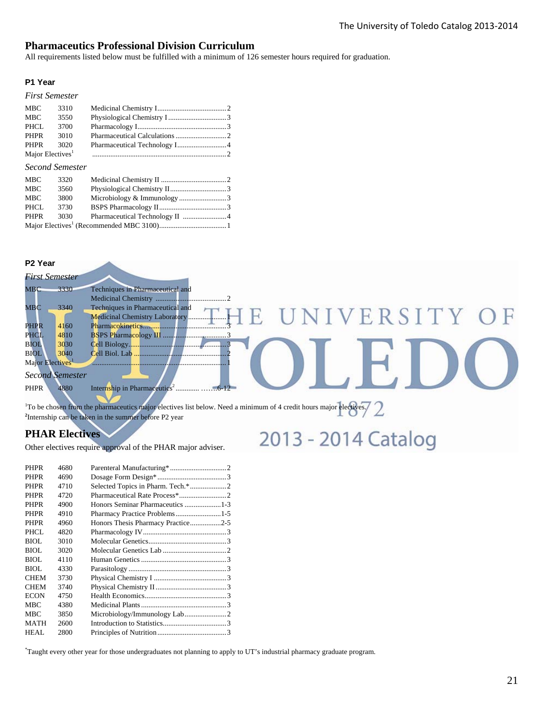#### **Pharmaceutics Professional Division Curriculum**

All requirements listed below must be fulfilled with a minimum of 126 semester hours required for graduation.

#### **P1 Year**

#### *First Semester*

| MBC                          | 3310   |  |
|------------------------------|--------|--|
| MBC                          | 3550   |  |
| PHCL                         | 3700   |  |
| PHPR                         | 3010   |  |
| PHPR                         | - 3020 |  |
| Major Electives <sup>1</sup> |        |  |

#### *Second Semester*

| MBC  | 3320 |  |
|------|------|--|
| MBC  | 3560 |  |
| MBC  | 3800 |  |
| PHCL | 3730 |  |
| PHPR | 3030 |  |
|      |      |  |

#### **P2 Year**

|                              | <b>First Semester</b>  |                                           |
|------------------------------|------------------------|-------------------------------------------|
| $_{\rm MBC}$                 | 3330                   | Techniques in Pharmaceutical and          |
|                              |                        |                                           |
| $_{\rm{MBC}}$                | 3340                   | Techniques in Pharmaceutical and          |
|                              |                        | VERSITY<br>Medicinal Chemistry Laboratory |
| <b>PHPR</b>                  | 4160                   |                                           |
| PHCL                         | 4810                   |                                           |
| <b>BIOL</b>                  | 3030                   |                                           |
| <b>BIOL</b>                  | 3040                   | Cell Biol. Lab                            |
| Major Electives <sup>1</sup> |                        |                                           |
|                              | <b>Second Semester</b> |                                           |
| <b>PHPR</b>                  | 4880                   | Internship in Pharmaceutics <sup>2</sup>  |

2013 - 2014 Catalog

<sup>1</sup>To be chosen from the pharmaceutics major electives list below. Need a minimum of 4 credit hours major electives.<br><sup>2</sup>Internship can be taken in the summer before P2 year

#### **PHAR Electives**

Other electives require approval of the PHAR major adviser.

| <b>PHPR</b> | 4680 |                                    |  |
|-------------|------|------------------------------------|--|
| <b>PHPR</b> | 4690 |                                    |  |
| <b>PHPR</b> | 4710 |                                    |  |
| <b>PHPR</b> | 4720 |                                    |  |
| <b>PHPR</b> | 4900 |                                    |  |
| <b>PHPR</b> | 4910 |                                    |  |
| <b>PHPR</b> | 4960 | Honors Thesis Pharmacy Practice2-5 |  |
| PHCL        | 4820 |                                    |  |
| BIOL.       | 3010 |                                    |  |
| BIOL        | 3020 |                                    |  |
| BIOL        | 4110 |                                    |  |
| BIOL        | 4330 |                                    |  |
| <b>CHEM</b> | 3730 |                                    |  |
| <b>CHEM</b> | 3740 |                                    |  |
| <b>ECON</b> | 4750 |                                    |  |
| MBC         | 4380 |                                    |  |
| MBC         | 3850 |                                    |  |
| <b>MATH</b> | 2600 |                                    |  |
| HEAL        | 2800 |                                    |  |

\* Taught every other year for those undergraduates not planning to apply to UT's industrial pharmacy graduate program.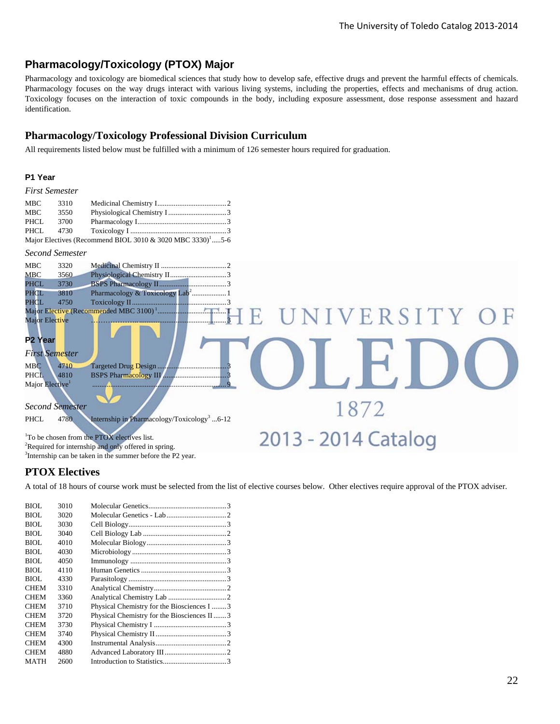## **Pharmacology/Toxicology (PTOX) Major**

Pharmacology and toxicology are biomedical sciences that study how to develop safe, effective drugs and prevent the harmful effects of chemicals. Pharmacology focuses on the way drugs interact with various living systems, including the properties, effects and mechanisms of drug action. Toxicology focuses on the interaction of toxic compounds in the body, including exposure assessment, dose response assessment and hazard identification.

#### **Pharmacology/Toxicology Professional Division Curriculum**

All requirements listed below must be fulfilled with a minimum of 126 semester hours required for graduation.

#### **P1 Year**

|  | <b>First Semester</b> |
|--|-----------------------|
|--|-----------------------|

| MBC  | 3310 |                                                                        |  |
|------|------|------------------------------------------------------------------------|--|
| MBC  | 3550 |                                                                        |  |
| PHCL | 3700 |                                                                        |  |
|      |      |                                                                        |  |
|      |      | Major Electives (Recommend BIOL 3010 & 3020 MBC 3330) <sup>1</sup> 5-6 |  |

#### *Second Semester*



#### **PTOX Electives**

A total of 18 hours of course work must be selected from the list of elective courses below. Other electives require approval of the PTOX adviser.

| BIOL.       | 3010 |                                            |  |
|-------------|------|--------------------------------------------|--|
| BIOL        | 3020 |                                            |  |
| BIOL        | 3030 |                                            |  |
| BIOL        | 3040 |                                            |  |
| BIOL        | 4010 |                                            |  |
| BIOL        | 4030 |                                            |  |
| BIOL.       | 4050 |                                            |  |
| BIOL.       | 4110 |                                            |  |
| BIOL        | 4330 |                                            |  |
| <b>CHEM</b> | 3310 |                                            |  |
| <b>CHEM</b> | 3360 |                                            |  |
| <b>CHEM</b> | 3710 | Physical Chemistry for the Biosciences I 3 |  |
| <b>CHEM</b> | 3720 | Physical Chemistry for the Biosciences II3 |  |
| <b>CHEM</b> | 3730 |                                            |  |
| <b>CHEM</b> | 3740 |                                            |  |
| <b>CHEM</b> | 4300 |                                            |  |
| <b>CHEM</b> | 4880 |                                            |  |
| MATH        | 2600 |                                            |  |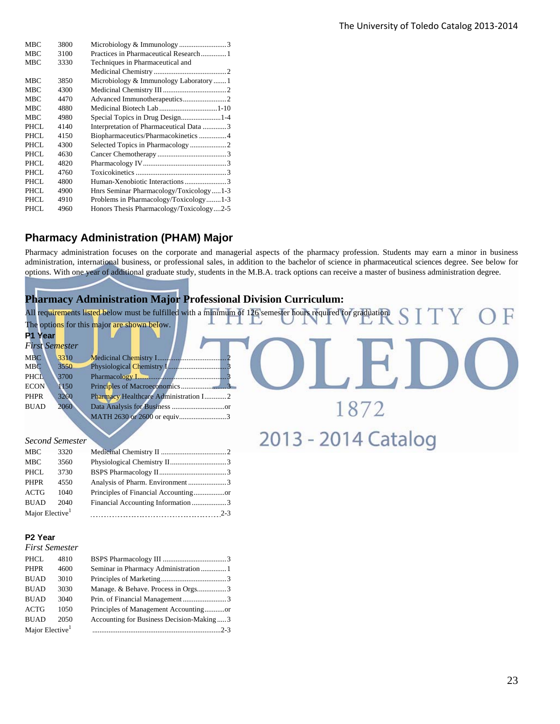| <b>MBC</b>  | 3800 |                                          |
|-------------|------|------------------------------------------|
| <b>MBC</b>  | 3100 | Practices in Pharmaceutical Research1    |
| <b>MBC</b>  | 3330 | Techniques in Pharmaceutical and         |
|             |      |                                          |
| <b>MBC</b>  | 3850 | Microbiology & Immunology Laboratory 1   |
| <b>MBC</b>  | 4300 |                                          |
| <b>MBC</b>  | 4470 |                                          |
| <b>MBC</b>  | 4880 | Medicinal Biotech Lab1-10                |
| <b>MBC</b>  | 4980 | Special Topics in Drug Design1-4         |
| PHCL        | 4140 | Interpretation of Pharmaceutical Data 3  |
| PHCL        | 4150 | Biopharmaceutics/Pharmacokinetics  4     |
| PHCL        | 4300 |                                          |
| PHCL        | 4630 |                                          |
| <b>PHCL</b> | 4820 |                                          |
| PHCL        | 4760 |                                          |
| PHCL        | 4800 |                                          |
| PHCL        | 4900 | Hnrs Seminar Pharmacology/Toxicology1-3  |
| <b>PHCL</b> | 4910 | Problems in Pharmacology/Toxicology1-3   |
| PHCL        | 4960 | Honors Thesis Pharmacology/Toxicology2-5 |
|             |      |                                          |

## **Pharmacy Administration (PHAM) Major**

Pharmacy administration focuses on the corporate and managerial aspects of the pharmacy profession. Students may earn a minor in business administration, international business, or professional sales, in addition to the bachelor of science in pharmaceutical sciences degree. See below for options. With one year of additional graduate study, students in the M.B.A. track options can receive a master of business administration degree.

## **Pharmacy Administration Major Professional Division Curriculum:**

|                                         | All requirements listed below must be fulfilled with a minimum of 126 semester hours required for graduation. |                     |
|-----------------------------------------|---------------------------------------------------------------------------------------------------------------|---------------------|
|                                         | The options for this major are shown below.                                                                   |                     |
| <b>P1 Year</b><br><b>First Semester</b> |                                                                                                               |                     |
| 3310<br><b>MBC</b>                      |                                                                                                               |                     |
| <b>MBC</b><br>3550                      |                                                                                                               |                     |
| <b>PHCL</b><br>3700                     |                                                                                                               |                     |
| <b>ECON</b>                             | 1150                                                                                                          |                     |
| 3260<br><b>PHPR</b>                     | Pharmacy Healthcare Administration I2                                                                         |                     |
| <b>BUAD</b>                             | 2060                                                                                                          |                     |
|                                         | MATH 2630 or 2600 or equiv3                                                                                   |                     |
| <b>Second Semester</b>                  |                                                                                                               | 2013 - 2014 Catalog |
|                                         |                                                                                                               |                     |

| MBC                         | 3320 |                                 |         |
|-----------------------------|------|---------------------------------|---------|
| <b>MBC</b>                  | 3560 |                                 |         |
| <b>PHCL</b>                 | 3730 |                                 |         |
| <b>PHPR</b>                 | 4550 | Analysis of Pharm. Environment3 |         |
| ACTG                        | 1040 |                                 |         |
| <b>BUAD</b>                 | 2040 |                                 |         |
| Major Elective <sup>1</sup> |      |                                 | $2 - 3$ |
|                             |      |                                 |         |

#### **P2 Year**

| <b>First Semester</b>       |      |                                          |  |
|-----------------------------|------|------------------------------------------|--|
| <b>PHCL</b>                 | 4810 |                                          |  |
| <b>PHPR</b>                 | 4600 | Seminar in Pharmacy Administration  1    |  |
| <b>BUAD</b>                 | 3010 |                                          |  |
| <b>BUAD</b>                 | 3030 | Manage. & Behave. Process in Orgs3       |  |
| <b>BUAD</b>                 | 3040 |                                          |  |
| <b>ACTG</b>                 | 1050 |                                          |  |
| <b>BUAD</b>                 | 2050 | Accounting for Business Decision-Making3 |  |
| Major Elective <sup>1</sup> |      |                                          |  |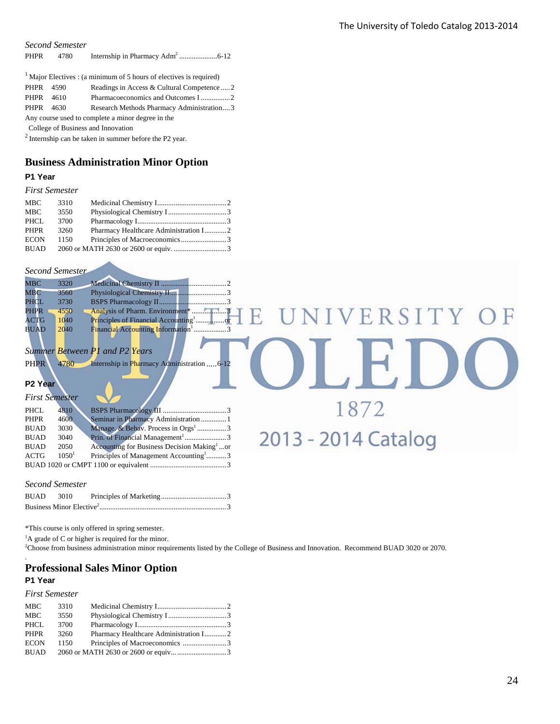OLEDC

1872

2013 - 2014 Catalog

*Second Semester*

| <b>PHPR</b> | 4780 |  |  |
|-------------|------|--|--|
|-------------|------|--|--|

|                                                   |      | $1$ Major Electives : (a minimum of 5 hours of electives is required) |  |
|---------------------------------------------------|------|-----------------------------------------------------------------------|--|
| PHPR 4590                                         |      | Readings in Access & Cultural Competence2                             |  |
| PHPR 4610                                         |      |                                                                       |  |
| PHPR                                              | 4630 | Research Methods Pharmacy Administration3                             |  |
| Any course used to complete a minor degree in the |      |                                                                       |  |
| College of Business and Innovation                |      |                                                                       |  |

2 Internship can be taken in summer before the P2 year.

#### **Business Administration Minor Option**

#### **P1 Year**

#### *First Semester*

| <b>MBC</b>  | 3310 |  |
|-------------|------|--|
| MBC.        | 3550 |  |
| PHCL        | 3700 |  |
| PHPR        | 3260 |  |
| <b>ECON</b> | 1150 |  |
| <b>BUAD</b> |      |  |

#### *Second Semester*

| <b>MBC</b>  | 3320 |                                         |                |  |
|-------------|------|-----------------------------------------|----------------|--|
| <b>MBC</b>  | 3560 |                                         |                |  |
| PHCL        | 3730 |                                         |                |  |
| PHPR        | 4550 |                                         | E UNIVERSITY O |  |
| ACTG        | 1040 | Principles of Financial Accounting      |                |  |
| <b>BUAD</b> | 2040 | <b>Financial Accounting Information</b> |                |  |
|             |      |                                         |                |  |

#### *Summer Between P1 and P2 Years*

| <b>PHPR</b><br>4780<br>Internship in Pharmacy Administration  6-12 |
|--------------------------------------------------------------------|
|--------------------------------------------------------------------|

#### **P2**

|             | <b>First Semester</b> |                                                         |  |
|-------------|-----------------------|---------------------------------------------------------|--|
| <b>PHCL</b> | 4810                  |                                                         |  |
| <b>PHPR</b> | 4600                  | Seminar in Pharmacy Administration  1                   |  |
| <b>BUAD</b> | 3030                  | Manage. & Behav. Process in Orgs <sup>1</sup> 3         |  |
| <b>BUAD</b> | 3040                  | Prin. of Financial Management <sup>1</sup> 3            |  |
| <b>BUAD</b> | 2050                  | Accounting for Business Decision Making <sup>1</sup> or |  |
| <b>ACTG</b> | 1050 <sup>1</sup>     | Principles of Management Accounting <sup>1</sup> 3      |  |
|             |                       |                                                         |  |

#### *Second Semester*

| BUAD 3010 |  |  |
|-----------|--|--|
|           |  |  |

\*This course is only offered in spring semester.

 ${}^{1}$ A grade of C or higher is required for the minor.

2 Choose from business administration minor requirements listed by the College of Business and Innovation. Recommend BUAD 3020 or 2070.

#### **Professional Sales Minor Option P1 Year**

#### *First Semester*

.

| MBC         | 3310 |  |
|-------------|------|--|
| <b>MBC</b>  | 3550 |  |
| PHCL        | 3700 |  |
| <b>PHPR</b> | 3260 |  |
| <b>ECON</b> | 1150 |  |
| BUAD        |      |  |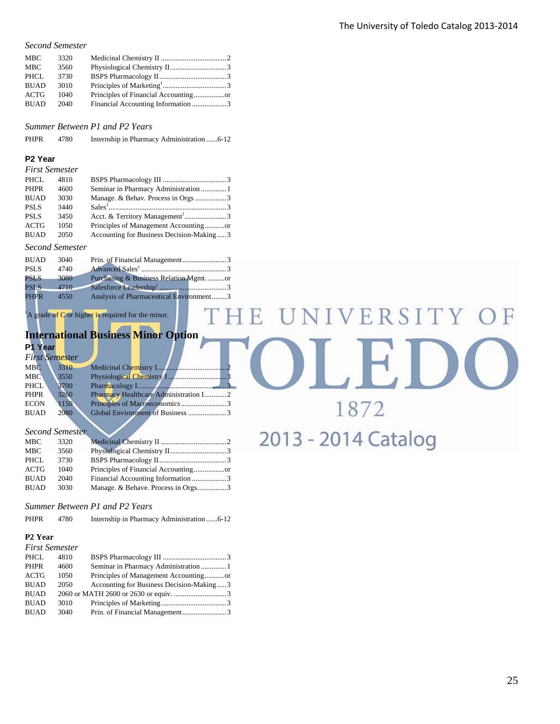#### *Second Semester*

| <b>MBC</b>  | 3320 |                                    |  |
|-------------|------|------------------------------------|--|
| <b>MBC</b>  | 3560 |                                    |  |
| PHCL        | 3730 |                                    |  |
| <b>BUAD</b> | 3010 |                                    |  |
| <b>ACTG</b> | 1040 |                                    |  |
| <b>BUAD</b> | 2040 | Financial Accounting Information 3 |  |

*Summer Between P1 and P2 Years* 

PHPR 4780 Internship in Pharmacy Administration ...... 6-12

#### **P2 Year**

| <b>First Semester</b> |      |                                             |  |
|-----------------------|------|---------------------------------------------|--|
| PHCL                  | 4810 |                                             |  |
| <b>PHPR</b>           | 4600 | Seminar in Pharmacy Administration 1        |  |
| <b>BUAD</b>           | 3030 | Manage. & Behav. Process in Orgs 3          |  |
| <b>PSLS</b>           | 3440 |                                             |  |
| <b>PSLS</b>           | 3450 | Acct. & Territory Management <sup>1</sup> 3 |  |
| <b>ACTG</b>           | 1050 | Principles of Management Accountingor       |  |
| <b>BUAD</b>           | 2050 | Accounting for Business Decision-Making3    |  |
|                       |      |                                             |  |

#### *Second Semester*

| <b>BUAD</b> | 3040 |                                         |  |
|-------------|------|-----------------------------------------|--|
| <b>PSLS</b> | 4740 |                                         |  |
| <b>PSLS</b> | 3080 | Purchasing & Business Relation Mgmt. or |  |
| <b>PSLS</b> | 4710 |                                         |  |
| <b>PHPR</b> | 4550 | Analysis of Pharmaceutical Environment3 |  |

 ${}^{1}$ A grade of C or higher is required for the minor.

#### **International Business Minor Option P1 Year**

#### *First Semester*

| <b>MBC</b>  | 3310 |                                       |  |
|-------------|------|---------------------------------------|--|
| <b>MBC</b>  | 3550 |                                       |  |
| <b>PHCL</b> | 3700 |                                       |  |
| <b>PHPR</b> | 3260 | Pharmacy Healthcare Administration I2 |  |
| <b>ECON</b> | 1150 |                                       |  |
| <b>BUAD</b> | 2080 | Global Environment of Business 3      |  |
|             |      |                                       |  |

|             | <b>Second Semester</b> |                                    |  |
|-------------|------------------------|------------------------------------|--|
| <b>MBC</b>  | 3320                   |                                    |  |
| MBC         | 3560                   |                                    |  |
| PHCL        | 3730                   |                                    |  |
| ACTG        | 1040                   |                                    |  |
| <b>BUAD</b> | 2040                   |                                    |  |
| <b>BUAD</b> | 3030                   | Manage. & Behave. Process in Orgs3 |  |

#### *Summer Between P1 and P2 Years*

PHPR 4780 Internship in Pharmacy Administration ...... 6-12

#### **P2 Year**

| <b>First Semester</b> |      |                                          |  |
|-----------------------|------|------------------------------------------|--|
| PHCL                  | 4810 |                                          |  |
| <b>PHPR</b>           | 4600 | Seminar in Pharmacy Administration  1    |  |
| <b>ACTG</b>           | 1050 |                                          |  |
| <b>BUAD</b>           | 2050 | Accounting for Business Decision-Making3 |  |
| <b>BUAD</b>           |      |                                          |  |
| <b>BUAD</b>           | 3010 |                                          |  |
| <b>BUAD</b>           | 3040 |                                          |  |

# IVERSITY F F. 1872

# 2013 - 2014 Catalog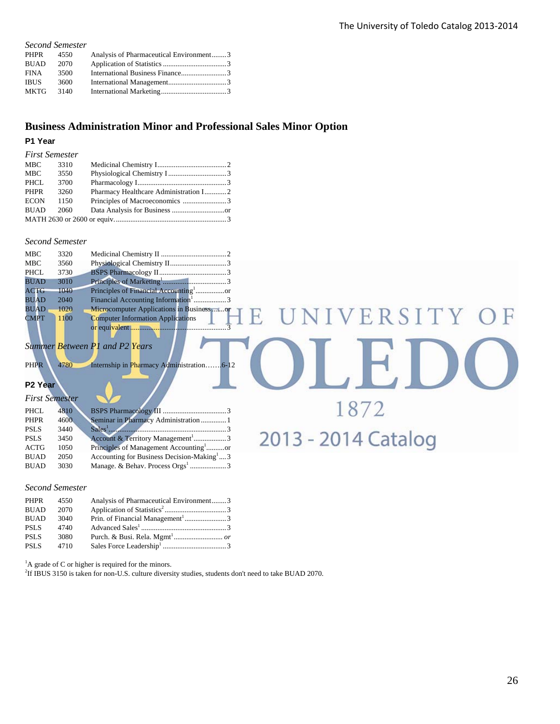VERSITY

1872

2013 - 2014 Catalog

#### *Second Semester*

| PHPR        | 4550 | Analysis of Pharmaceutical Environment3 |  |
|-------------|------|-----------------------------------------|--|
| <b>BUAD</b> | 2070 |                                         |  |
| <b>FINA</b> | 3500 |                                         |  |
| <b>IBUS</b> | 3600 |                                         |  |
| <b>MKTG</b> | 3140 |                                         |  |
|             |      |                                         |  |

#### **Business Administration Minor and Professional Sales Minor Option**

F.

#### **P1 Year**

| <b>First Semester</b> |      |                                       |  |
|-----------------------|------|---------------------------------------|--|
| MBC                   | 3310 |                                       |  |
| MBC                   | 3550 |                                       |  |
| PHCL                  | 3700 |                                       |  |
| <b>PHPR</b>           | 3260 | Pharmacy Healthcare Administration I2 |  |
| <b>ECON</b>           | 1150 |                                       |  |
| <b>BUAD</b>           | 2060 |                                       |  |
|                       |      |                                       |  |

#### *Second Semester*

| MBC         | 3320 |                                                 |  |
|-------------|------|-------------------------------------------------|--|
| MBC         | 3560 |                                                 |  |
| PHCL        | 3730 |                                                 |  |
| <b>BUAD</b> | 3010 |                                                 |  |
| <b>ACTG</b> | 1040 |                                                 |  |
| <b>BUAD</b> | 2040 | Financial Accounting Information <sup>1</sup> 3 |  |
| <b>BUAD</b> | 1020 | Microcomputer Applications in Businessor        |  |
| <b>CMPT</b> | 1100 | <b>Computer Information Applications</b>        |  |
|             |      |                                                 |  |

#### *Summer Between P1 and P2 Years*

PHPR 4780 Internship in Pharmacy Administration…….6-12

#### **P2 Year**

| <b>First Semester</b> |      |                                                                                                                                                                                                                                                                                                                                     |  |
|-----------------------|------|-------------------------------------------------------------------------------------------------------------------------------------------------------------------------------------------------------------------------------------------------------------------------------------------------------------------------------------|--|
| <b>PHCL</b>           | 4810 |                                                                                                                                                                                                                                                                                                                                     |  |
| <b>PHPR</b>           | 4600 | Seminar in Pharmacy Administration  1                                                                                                                                                                                                                                                                                               |  |
| <b>PSLS</b>           | 3440 | $Sales1$ $\ldots$ $\ldots$ $\ldots$ $\ldots$ $\ldots$ $\ldots$ $\ldots$ $\ldots$ $\ldots$ $\ldots$ $\ldots$ $\ldots$ $\ldots$ $\ldots$ $\ldots$ $\ldots$ $\ldots$ $\ldots$ $\ldots$ $\ldots$ $\ldots$ $\ldots$ $\ldots$ $\ldots$ $\ldots$ $\ldots$ $\ldots$ $\ldots$ $\ldots$ $\ldots$ $\ldots$ $\ldots$ $\ldots$ $\ldots$ $\ldots$ |  |
| <b>PSLS</b>           | 3450 | Account & Territory Management <sup>1</sup> 3                                                                                                                                                                                                                                                                                       |  |
| <b>ACTG</b>           | 1050 | Principles of Management Accounting <sup>1</sup> or                                                                                                                                                                                                                                                                                 |  |
| <b>BUAD</b>           | 2050 | Accounting for Business Decision-Making <sup>1</sup> 3                                                                                                                                                                                                                                                                              |  |
| <b>BUAD</b>           | 3030 |                                                                                                                                                                                                                                                                                                                                     |  |

#### *Second Semester*

| PHPR        | 4550 | Analysis of Pharmaceutical Environment3      |  |
|-------------|------|----------------------------------------------|--|
| <b>BUAD</b> | 2070 |                                              |  |
| <b>BUAD</b> | 3040 | Prin. of Financial Management <sup>1</sup> 3 |  |
| <b>PSLS</b> | 4740 |                                              |  |
| <b>PSLS</b> | 3080 |                                              |  |
| <b>PSLS</b> | 4710 |                                              |  |

 ${}^{1}$ A grade of C or higher is required for the minors.

2 If IBUS 3150 is taken for non-U.S. culture diversity studies, students don't need to take BUAD 2070.

F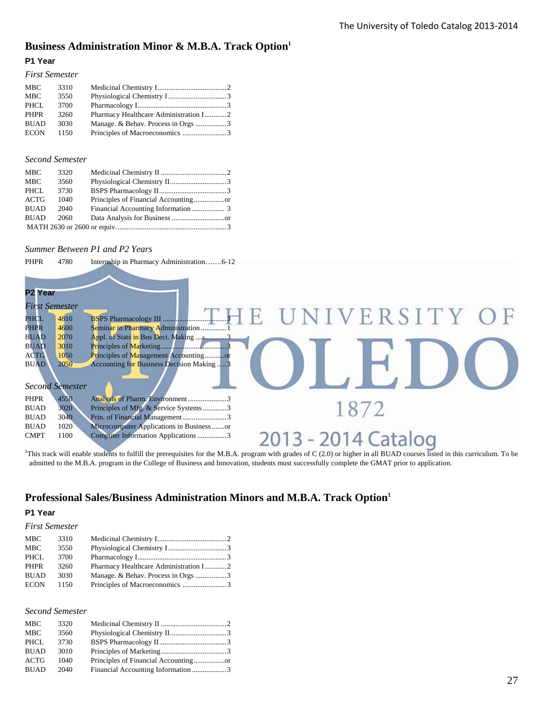## **Business Administration Minor & M.B.A. Track Option1**

#### **P1 Year**

| <b>First Semester</b> |      |                                    |  |
|-----------------------|------|------------------------------------|--|
| MBC                   | 3310 |                                    |  |
| MBC                   | 3550 |                                    |  |
| PHCL                  | 3700 |                                    |  |
| <b>PHPR</b>           | 3260 |                                    |  |
| <b>BUAD</b>           | 3030 | Manage. & Behav. Process in Orgs 3 |  |
| <b>ECON</b>           | 1150 |                                    |  |

#### *Second Semester*

| <b>MBC</b>  | 3320 |  |
|-------------|------|--|
| <b>MBC</b>  | 3560 |  |
| <b>PHCL</b> | 3730 |  |
| <b>ACTG</b> | 1040 |  |
| <b>BUAD</b> | 2040 |  |
| <b>BUAD</b> | 2060 |  |
|             |      |  |

#### *Summer Between P1 and P2 Years*

| PHPR | 4780 | Internship in Pharmacy Administration6-12 |  |
|------|------|-------------------------------------------|--|
|------|------|-------------------------------------------|--|

| P <sub>2</sub> Year   |                        |                                                            |
|-----------------------|------------------------|------------------------------------------------------------|
| <b>First Semester</b> |                        |                                                            |
| PHCL                  | 4810                   | UNIVERSITY OF                                              |
| <b>PHPR</b>           | 4600                   | Seminar in Pharmacy Administration  1                      |
| <b>BUAD</b>           | 2070                   |                                                            |
| <b>BUAD</b>           | 3010                   |                                                            |
| <b>ACTG</b>           | 1050                   | Principles of Management Accountingor                      |
| <b>BUAD</b>           | 2050                   | Accounting for Business Decision Making  3                 |
|                       | <b>Second Semester</b> |                                                            |
| <b>PHPR</b>           | 4550                   | Analysis of Pharm. Environment3                            |
| <b>BUAD</b>           | 3020                   | Principles of Mfg. & Service Systems3                      |
| <b>BUAD</b>           | 3040                   | Prin. of Financial Management 3                            |
| <b>BUAD</b>           | 1020                   | Microcomputer Applications in Businessor                   |
| <b>CMPT</b>           | 1100                   | 2013 - 2014 Catalog<br>Computer Information Applications 3 |

<sup>1</sup>This track will enable students to fulfill the prerequisites for the M.B.A. program with grades of C (2.0) or higher in all BUAD courses listed in this curriculum. To be admitted to the M.B.A. program in the College of Business and Innovation, students must successfully complete the GMAT prior to application.

#### **Professional Sales/Business Administration Minors and M.B.A. Track Option1**

#### **P1 Year**

#### *First Semester*

| <b>MBC</b>  | 3310 |                                       |  |
|-------------|------|---------------------------------------|--|
| <b>MBC</b>  | 3550 |                                       |  |
| PHCL        | 3700 |                                       |  |
| <b>PHPR</b> | 3260 | Pharmacy Healthcare Administration I2 |  |
| <b>BUAD</b> | 3030 | Manage. & Behav. Process in Orgs 3    |  |
| <b>ECON</b> | 1150 |                                       |  |

#### *Second Semester*

| <b>MBC</b>  | 3320 |  |
|-------------|------|--|
| <b>MBC</b>  | 3560 |  |
| PHCL        | 3730 |  |
| <b>BUAD</b> | 3010 |  |
| <b>ACTG</b> | 1040 |  |
| <b>BUAD</b> | 2040 |  |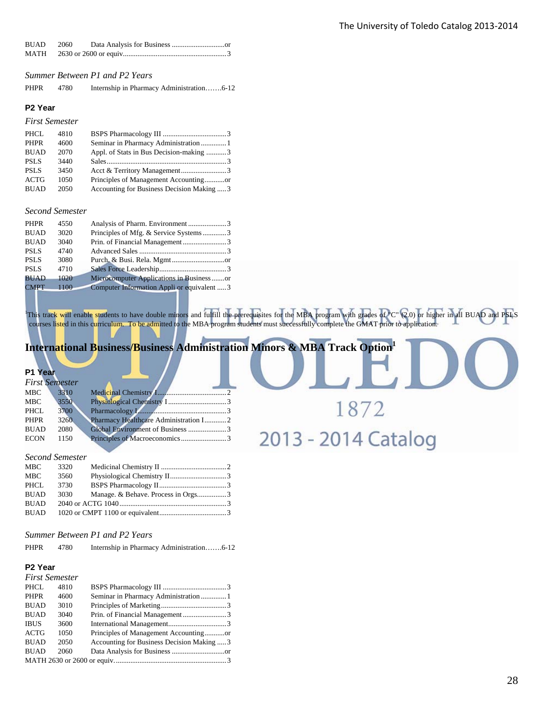| BUAD 2060 |  |  |
|-----------|--|--|
|           |  |  |

*Summer Between P1 and P2 Years* 

PHPR 4780 Internship in Pharmacy Administration…….6-12

#### **P2 Year**

*First Semester* 

| PHCL        | 4810 |                                            |  |
|-------------|------|--------------------------------------------|--|
| <b>PHPR</b> | 4600 |                                            |  |
| <b>BUAD</b> | 2070 | Appl. of Stats in Bus Decision-making 3    |  |
| <b>PSLS</b> | 3440 |                                            |  |
| <b>PSLS</b> | 3450 |                                            |  |
| ACTG        | 1050 |                                            |  |
| <b>BUAD</b> | 2050 | Accounting for Business Decision Making  3 |  |

#### *Second Semester*

| <b>PHPR</b> | 4550 |                                             |  |
|-------------|------|---------------------------------------------|--|
| <b>BUAD</b> | 3020 | Principles of Mfg. & Service Systems3       |  |
| <b>BUAD</b> | 3040 |                                             |  |
| <b>PSLS</b> | 4740 |                                             |  |
| <b>PSLS</b> | 3080 |                                             |  |
| <b>PSLS</b> | 4710 |                                             |  |
| <b>BUAD</b> | 1020 | Microcomputer Applications in Business or   |  |
| <b>CMPT</b> | 1100 | Computer Information Appli or equivalent  3 |  |

This track will enable students to have double minors and fulfill the prerequisites for the MBA program with grades of "C" (2.0) or higher in all BUAD and PSLS courses listed in this curriculum. To be admitted to the MBA program students must successfully complete the GMAT prior to application.

1872

2013 - 2014 Catalog

#### **International Business/Business Administration Minors & MBA Track Option**

#### **P1 Year**

| <b>First Semester</b> |      |                                       |  |
|-----------------------|------|---------------------------------------|--|
| <b>MBC</b>            | 3310 |                                       |  |
| MBC                   | 3550 |                                       |  |
| PHCL                  | 3700 |                                       |  |
| <b>PHPR</b>           | 3260 | Pharmacy Healthcare Administration I2 |  |
| <b>BUAD</b>           | 2080 |                                       |  |
| <b>ECON</b>           | 1150 |                                       |  |
|                       |      |                                       |  |

#### *Second Semester*

| MBC         | 3320 |                                    |  |
|-------------|------|------------------------------------|--|
| MBC         | 3560 |                                    |  |
| PHCL        | 3730 |                                    |  |
| <b>BUAD</b> | 3030 | Manage. & Behave. Process in Orgs3 |  |
| <b>BUAD</b> |      |                                    |  |
| BUAD        |      |                                    |  |

#### *Summer Between P1 and P2 Years*

| PHPR | 4780 |  |  |
|------|------|--|--|
|      |      |  |  |

#### **P2 Year**

| <b>First Semester</b> |      |                                            |
|-----------------------|------|--------------------------------------------|
| PHCL                  | 4810 |                                            |
| <b>PHPR</b>           | 4600 |                                            |
| <b>BUAD</b>           | 3010 |                                            |
| <b>BUAD</b>           | 3040 | Prin. of Financial Management3             |
| <b>IBUS</b>           | 3600 |                                            |
| <b>ACTG</b>           | 1050 |                                            |
| <b>BUAD</b>           | 2050 | Accounting for Business Decision Making  3 |
| <b>BUAD</b>           | 2060 |                                            |
|                       |      |                                            |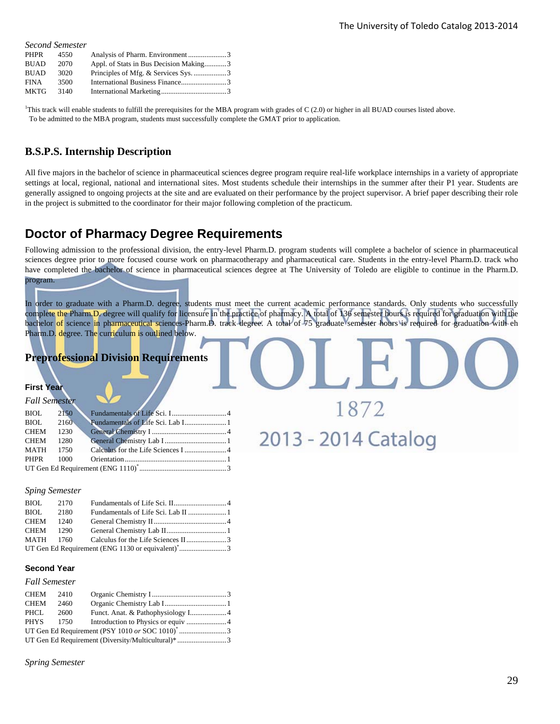|             | <b>Second Semester</b> |                                        |
|-------------|------------------------|----------------------------------------|
| <b>PHPR</b> | 4550                   |                                        |
| <b>BUAD</b> | 2070                   | Appl. of Stats in Bus Decision Making3 |
| <b>BUAD</b> | 3020                   |                                        |
| <b>FINA</b> | 3500                   |                                        |
| <b>MKTG</b> | 3140                   |                                        |

1 This track will enable students to fulfill the prerequisites for the MBA program with grades of C (2.0) or higher in all BUAD courses listed above. To be admitted to the MBA program, students must successfully complete the GMAT prior to application.

#### **B.S.P.S. Internship Description**

All five majors in the bachelor of science in pharmaceutical sciences degree program require real-life workplace internships in a variety of appropriate settings at local, regional, national and international sites. Most students schedule their internships in the summer after their P1 year. Students are generally assigned to ongoing projects at the site and are evaluated on their performance by the project supervisor. A brief paper describing their role in the project is submitted to the coordinator for their major following completion of the practicum.

## **Doctor of Pharmacy Degree Requirements**

Following admission to the professional division, the entry-level Pharm.D. program students will complete a bachelor of science in pharmaceutical sciences degree prior to more focused course work on pharmacotherapy and pharmaceutical care. Students in the entry-level Pharm.D. track who have completed the bachelor of science in pharmaceutical sciences degree at The University of Toledo are eligible to continue in the Pharm.D. program.

In order to graduate with a Pharm.D. degree, students must meet the current academic performance standards. Only students who successfully complete the Pharm.D. degree will qualify for licensure in the practice of pharmacy. A total of 136 semester hours is required for graduation with the bachelor of science in pharmaceutical sciences-Pharm.D. track degree. A total of 75 graduate semester hours is required for graduation with eh Pharm.D. degree. The curriculum is outlined below.

1872

2013 - 2014 Catalog

#### **Preprofessional Division Requirements**

#### **First Year**

| <b>Fall Semester</b> |      |  |
|----------------------|------|--|
| BIOL                 | 2150 |  |
| BIOL 2160            |      |  |
| <b>CHEM</b>          | 1230 |  |
| <b>CHEM</b>          | 1280 |  |
| MATH 1750            |      |  |
| <b>PHPR</b>          | 1000 |  |
|                      |      |  |

#### *Sping Semester*

| BIOL 2170                                                     |  |  |  |  |
|---------------------------------------------------------------|--|--|--|--|
| BIOL 2180                                                     |  |  |  |  |
| CHEM 1240                                                     |  |  |  |  |
| CHEM 1290                                                     |  |  |  |  |
|                                                               |  |  |  |  |
| UT Gen Ed Requirement (ENG 1130 or equivalent) <sup>*</sup> 3 |  |  |  |  |

#### **Second Year**

#### *Fall Semester*

| CHEM<br>2410                                       |      |  |  |
|----------------------------------------------------|------|--|--|
| <b>CHEM</b><br>2460                                |      |  |  |
| PHCL<br>2600                                       |      |  |  |
| PHYS                                               | 1750 |  |  |
|                                                    |      |  |  |
| UT Gen Ed Requirement (Diversity/Multicultural)* 3 |      |  |  |

*Spring Semester*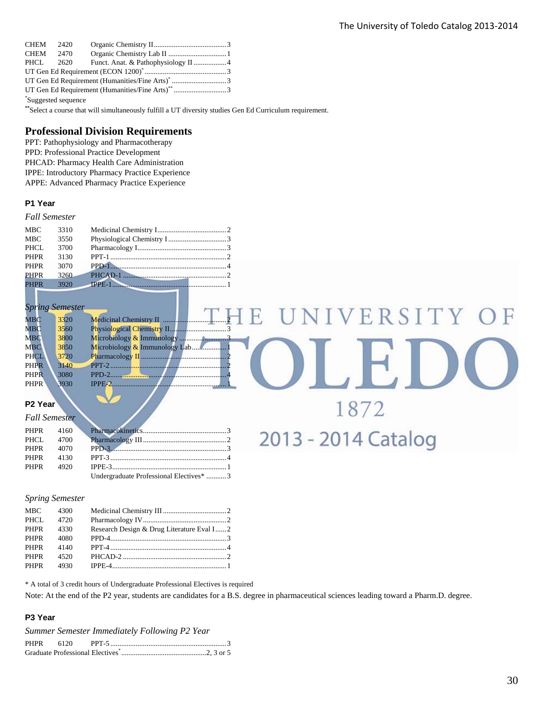| CHEM 2420                                                    |  |  |  |  |
|--------------------------------------------------------------|--|--|--|--|
| CHEM 2470                                                    |  |  |  |  |
| PHCL 2620                                                    |  |  |  |  |
|                                                              |  |  |  |  |
| UT Gen Ed Requirement (Humanities/Fine Arts) <sup>*</sup> 3  |  |  |  |  |
| UT Gen Ed Requirement (Humanities/Fine Arts) <sup>**</sup> 3 |  |  |  |  |
| *Suggested sequence                                          |  |  |  |  |

**\*\***Select a course that will simultaneously fulfill a UT diversity studies Gen Ed Curriculum requirement.

#### **Professional Division Requirements**

PPT: Pathophysiology and Pharmacotherapy PPD: Professional Practice Development PHCAD: Pharmacy Health Care Administration IPPE: Introductory Pharmacy Practice Experience APPE: Advanced Pharmacy Practice Experience

#### **P1 Year**

#### *Fall Semester*

| <b>MBC</b>  | 3310 |               |  |
|-------------|------|---------------|--|
| <b>MBC</b>  | 3550 |               |  |
| PHCL        | 3700 |               |  |
| <b>PHPR</b> | 3130 |               |  |
| <b>PHPR</b> | 3070 |               |  |
| <b>PHPR</b> | 3260 | $PHCAD-1$ $2$ |  |
| <b>PHPR</b> | 3920 | TPPE-1        |  |

*Spring Semester*

| MBC          | 3320 |                               |
|--------------|------|-------------------------------|
| $_{\rm MBC}$ | 3560 |                               |
| <b>MBC</b>   | 3800 | Microbiology & Immunology     |
| <b>MBC</b>   | 3850 | Microbiology.<br><del>.</del> |
| <b>PHCL</b>  | 3720 | Pharmacology                  |
| PHPR         | 3140 | PPT-2                         |
| <b>PHPR</b>  | 3080 | PPD-2                         |
| <b>PHPR</b>  | 3930 | IPPE-                         |

1872

2013 - 2014 Catalog

#### **P2 Year**

|  | PHPR 4070 PPD-3                                     |  |
|--|-----------------------------------------------------|--|
|  |                                                     |  |
|  |                                                     |  |
|  | Undergraduate Professional Electives <sup>*</sup> 3 |  |

#### *Spring Semester*

| MBC         | 4300 |                                           |  |
|-------------|------|-------------------------------------------|--|
| PHCL        | 4720 |                                           |  |
| <b>PHPR</b> | 4330 | Research Design & Drug Literature Eval I2 |  |
| <b>PHPR</b> | 4080 |                                           |  |
| PHPR        | 4140 |                                           |  |
| <b>PHPR</b> | 4520 |                                           |  |
| PHPR        | 4930 |                                           |  |

\* A total of 3 credit hours of Undergraduate Professional Electives is required

Note: At the end of the P2 year, students are candidates for a B.S. degree in pharmaceutical sciences leading toward a Pharm.D. degree.

#### **P3 Year**

|  | Summer Semester Immediately Following P2 Year |  |
|--|-----------------------------------------------|--|
|  |                                               |  |
|  |                                               |  |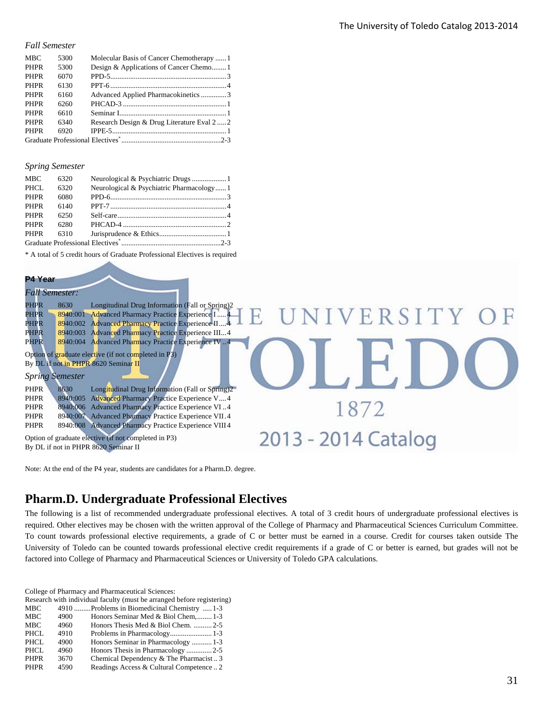#### *Fall Semester*

| <b>MBC</b>  | 5300 | Molecular Basis of Cancer Chemotherapy  1 |
|-------------|------|-------------------------------------------|
| <b>PHPR</b> | 5300 | Design & Applications of Cancer Chemo     |
| <b>PHPR</b> | 6070 |                                           |
| <b>PHPR</b> | 6130 |                                           |
| <b>PHPR</b> | 6160 | Advanced Applied Pharmacokinetics 3       |
| <b>PHPR</b> | 6260 |                                           |
| <b>PHPR</b> | 6610 |                                           |
| <b>PHPR</b> | 6340 | Research Design & Drug Literature Eval 22 |
| <b>PHPR</b> | 6920 |                                           |
|             |      |                                           |

#### *Spring Semester*

| <b>MBC</b>  | 6320 |                                          |  |
|-------------|------|------------------------------------------|--|
| PHCL        | 6320 | Neurological & Psychiatric Pharmacology1 |  |
| <b>PHPR</b> | 6080 |                                          |  |
| <b>PHPR</b> | 6140 |                                          |  |
| <b>PHPR</b> | 6250 |                                          |  |
| <b>PHPR</b> | 6280 |                                          |  |
| <b>PHPR</b> | 6310 |                                          |  |
|             |      |                                          |  |

\* A total of 5 credit hours of Graduate Professional Electives is required

#### **P4 Year**

| <b>Fall Semester:</b>                                                        |                     |
|------------------------------------------------------------------------------|---------------------|
| PHPR<br>Longitudinal Drug Information (Fall or Spring)2<br>8630              |                     |
| Advanced Pharmacy Practice Experience I  4<br><b>PHPR</b><br>8940:001        | UNIVERSITY OF       |
| 8940:002 Advanced Pharmacy Practice Experience II4<br>PHPR                   |                     |
| <b>Advanced Pharmacy Practice Experience III4</b><br><b>PHPR</b><br>8940:003 |                     |
| <b>Advanced Pharmacy Practice Experience IV.4</b><br><b>PHPR</b><br>8940:004 |                     |
| Option of graduate elective (if not completed in P3)                         |                     |
| By DL if not in PHPR 8620 Seminar II                                         |                     |
| <b>Spring Semester</b>                                                       |                     |
| <b>PHPR</b><br>Longitudinal Drug Information (Fall or Spring)2<br>8630       |                     |
| Advanced Pharmacy Practice Experience V 4<br><b>PHPR</b><br>8940:005         |                     |
| 8940:006 Advanced Pharmacy Practice Experience VI4<br>PHPR                   | 1872                |
| 8940:007 Advanced Pharmacy Practice Experience VII.4<br><b>PHPR</b>          |                     |
| Advanced Pharmacy Practice Experience VIII 4<br><b>PHPR</b><br>8940:008      |                     |
| Option of graduate elective (if not completed in P3)                         | 2013 - 2014 Catalog |
| By DL if not in PHPR 8620 Seminar II                                         |                     |

Note: At the end of the P4 year, students are candidates for a Pharm.D. degree.

## **Pharm.D. Undergraduate Professional Electives**

The following is a list of recommended undergraduate professional electives. A total of 3 credit hours of undergraduate professional electives is required. Other electives may be chosen with the written approval of the College of Pharmacy and Pharmaceutical Sciences Curriculum Committee. To count towards professional elective requirements, a grade of C or better must be earned in a course. Credit for courses taken outside The University of Toledo can be counted towards professional elective credit requirements if a grade of C or better is earned, but grades will not be factored into College of Pharmacy and Pharmaceutical Sciences or University of Toledo GPA calculations.

College of Pharmacy and Pharmaceutical Sciences:

| Research with individual faculty (must be arranged before registering) |      |                                              |  |
|------------------------------------------------------------------------|------|----------------------------------------------|--|
| MBC                                                                    |      | 4910 Problems in Biomedicinal Chemistry  1-3 |  |
| MBC                                                                    | 4900 | Honors Seminar Med & Biol Chem, 1-3          |  |
| <b>MBC</b>                                                             | 4960 | Honors Thesis Med & Biol Chem. 2-5           |  |
| PHCL                                                                   | 4910 |                                              |  |
| PHCL                                                                   | 4900 | Honors Seminar in Pharmacology  1-3          |  |
| <b>PHCL</b>                                                            | 4960 |                                              |  |
| <b>PHPR</b>                                                            | 3670 | Chemical Dependency & The Pharmacist3        |  |
| <b>PHPR</b>                                                            | 4590 | Readings Access & Cultural Competence  2     |  |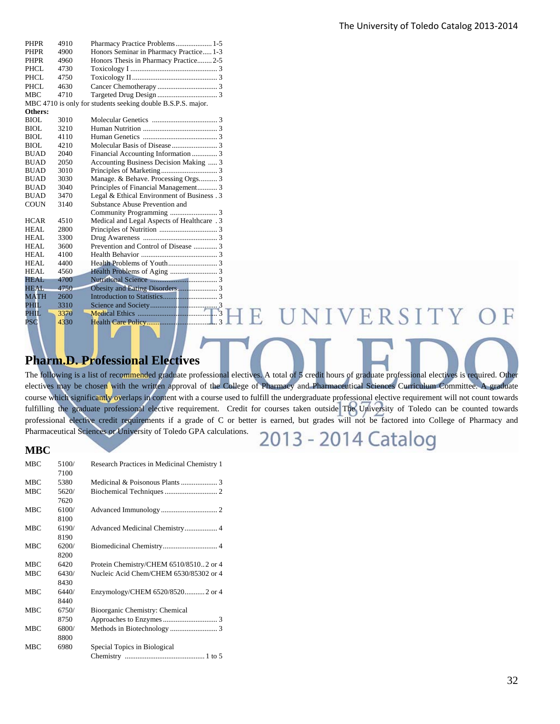| <b>PHPR</b>               | 4910 | Pharmacy Practice Problems 1-5                               |
|---------------------------|------|--------------------------------------------------------------|
| PHPR                      | 4900 | Honors Seminar in Pharmacy Practice 1-3                      |
| <b>PHPR</b>               | 4960 | Honors Thesis in Pharmacy Practice 2-5                       |
| PHCL                      | 4730 |                                                              |
| PHCL                      | 4750 |                                                              |
| PHCL                      | 4630 |                                                              |
| <b>MBC</b>                | 4710 |                                                              |
|                           |      | MBC 4710 is only for students seeking double B.S.P.S. major. |
| Others:                   |      |                                                              |
| <b>BIOL</b>               | 3010 |                                                              |
| <b>BIOL</b>               | 3210 |                                                              |
| <b>BIOL</b>               | 4110 |                                                              |
| <b>BIOL</b>               | 4210 |                                                              |
| <b>BUAD</b>               | 2040 | Financial Accounting Information  3                          |
| <b>BUAD</b>               | 2050 | Accounting Business Decision Making  3                       |
| <b>BUAD</b>               | 3010 |                                                              |
| <b>BUAD</b>               | 3030 | Manage. & Behave. Processing Orgs 3                          |
| <b>BUAD</b>               | 3040 | Principles of Financial Management 3                         |
| <b>BUAD</b>               | 3470 | Legal & Ethical Environment of Business . 3                  |
| <b>COUN</b>               | 3140 | Substance Abuse Prevention and                               |
|                           |      |                                                              |
| <b>HCAR</b>               | 4510 | Medical and Legal Aspects of Healthcare . 3                  |
| <b>HEAL</b>               | 2800 |                                                              |
| HEAL                      | 3300 |                                                              |
| <b>HEAL</b>               | 3600 | Prevention and Control of Disease  3                         |
| <b>HEAL</b>               | 4100 |                                                              |
| <b>HEAL</b>               | 4400 |                                                              |
| <b>HEAL</b>               | 4560 |                                                              |
| HEAL                      | 4700 |                                                              |
| <b>HEAL</b>               | 4750 |                                                              |
| <b>MATH</b>               | 2600 |                                                              |
| PHIL                      | 3310 |                                                              |
| PHIL                      | 3370 | VER                                                          |
| $\overline{\mathrm{PSC}}$ | 4330 |                                                              |
|                           |      |                                                              |

## **Pharm.D. Professional Electives**

The following is a list of recommended graduate professional electives. A total of 5 credit hours of graduate professional electives is required. Other electives may be chosen with the written approval of the College of Pharmacy and Pharmaceutical Sciences Curriculum Committee. A graduate course which significantly overlaps in content with a course used to fulfill the undergraduate professional elective requirement will not count towards fulfilling the graduate professional elective requirement. Credit for courses taken outside The University of Toledo can be counted towards professional elective credit requirements if a grade of C or better is earned, but grades will not be factored into College of Pharmacy and Pharmaceutical Sciences or University of Toledo GPA calculations. 2013 - 2014 Catalog

## **MBC**  MBC 5100/ Research Practices in Medicinal Chemistry 1

|            | 7100  |                                        |
|------------|-------|----------------------------------------|
| <b>MBC</b> | 5380  |                                        |
| <b>MBC</b> | 5620/ |                                        |
|            | 7620  |                                        |
| <b>MBC</b> | 6100/ |                                        |
|            | 8100  |                                        |
| <b>MBC</b> | 6190/ |                                        |
|            | 8190  |                                        |
| <b>MBC</b> | 6200/ |                                        |
|            | 8200  |                                        |
| <b>MBC</b> | 6420  | Protein Chemistry/CHEM 6510/85102 or 4 |
| <b>MBC</b> | 6430/ | Nucleic Acid Chem/CHEM 6530/85302 or 4 |
|            | 8430  |                                        |
| <b>MBC</b> | 6440/ | Enzymology/CHEM 6520/85202 or 4        |
|            | 8440  |                                        |
| <b>MBC</b> | 6750/ | Bioorganic Chemistry: Chemical         |
|            | 8750  |                                        |
| <b>MBC</b> | 6800/ |                                        |
|            | 8800  |                                        |
| <b>MBC</b> | 6980  | Special Topics in Biological           |
|            |       |                                        |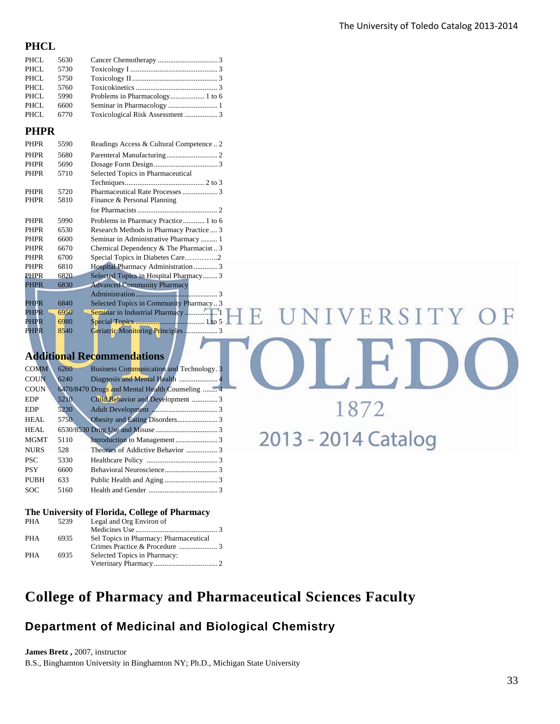II JEJD

1872

2013 - 2014 Catalog

#### **PHCL**

| PHCL | 5630 |                                  |  |
|------|------|----------------------------------|--|
| PHCL | 5730 |                                  |  |
| PHCL | 5750 |                                  |  |
| PHCL | 5760 |                                  |  |
| PHCL | 5990 |                                  |  |
| PHCL | 6600 |                                  |  |
| PHCL | 6770 | Toxicological Risk Assessment  3 |  |
|      |      |                                  |  |

#### **PHPR**

| <b>PHPR</b> | 5590 | Readings Access & Cultural Competence2  |
|-------------|------|-----------------------------------------|
| <b>PHPR</b> | 5680 |                                         |
| <b>PHPR</b> | 5690 |                                         |
| <b>PHPR</b> | 5710 | Selected Topics in Pharmaceutical       |
|             |      |                                         |
| <b>PHPR</b> | 5720 |                                         |
| <b>PHPR</b> | 5810 | Finance & Personal Planning             |
|             |      |                                         |
| <b>PHPR</b> | 5990 | Problems in Pharmacy Practice 1 to 6    |
| <b>PHPR</b> | 6530 | Research Methods in Pharmacy Practice 3 |
| <b>PHPR</b> | 6600 | Seminar in Administrative Pharmacy 1    |
| <b>PHPR</b> | 6670 | Chemical Dependency & The Pharmacist3   |
| <b>PHPR</b> | 6700 |                                         |
| <b>PHPR</b> | 6810 | Hospital Pharmacy Administration 3      |
| <b>PHPR</b> | 6820 | Selected Topics in Hospital Pharmacy 3  |
| <b>PHPR</b> | 6830 | <b>Advanced Community Pharmacy</b>      |
|             |      |                                         |
| PHPR        | 6840 | Selected Topics in Community Pharmacy 3 |
| PHPR        | 6950 | Seminar in Industrial Pharmacy1         |
| PHPR        | 6980 |                                         |
| <b>PHPR</b> | 8540 |                                         |

## **Additional Recommendations**

| <b>COMM</b> | 6260 | <b>Business Communication and Technology. 3</b> |
|-------------|------|-------------------------------------------------|
| <b>COUN</b> | 6240 |                                                 |
| COUN        |      | 6470/8470 Drugs and Mental Health Counseling  4 |
| EDP         | 5210 | Child Behavior and Development  3               |
| <b>EDP</b>  | 5230 |                                                 |
| HEAL        | 5750 |                                                 |
| HEAL        |      |                                                 |
| <b>MGMT</b> | 5110 |                                                 |
| <b>NURS</b> | 528  |                                                 |
| <b>PSC</b>  | 5330 |                                                 |
| <b>PSY</b>  | 6600 |                                                 |
| <b>PUBH</b> | 633  |                                                 |
| <b>SOC</b>  | 5160 |                                                 |

#### **The University of Florida, College of Pharmacy**

| <b>PHA</b> | 5239 | Legal and Org Environ of               |  |
|------------|------|----------------------------------------|--|
|            |      |                                        |  |
| PHA        | 6935 | Sel Topics in Pharmacy: Pharmaceutical |  |
|            |      |                                        |  |
| <b>PHA</b> | 6935 | Selected Topics in Pharmacy:           |  |
|            |      |                                        |  |

## **College of Pharmacy and Pharmaceutical Sciences Faculty**

## **Department of Medicinal and Biological Chemistry**

**James Bretz ,** 2007, instructor B.S., Binghamton University in Binghamton NY; Ph.D., Michigan State University ЭF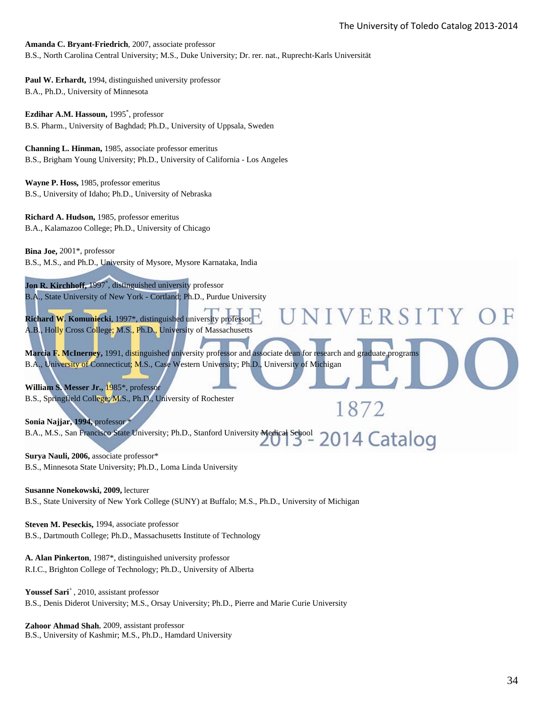VERSITY

1872

**Amanda C. Bryant-Friedrich**, 2007, associate professor B.S., North Carolina Central University; M.S., Duke University; Dr. rer. nat., Ruprecht-Karls Universität

**Paul W. Erhardt,** 1994, distinguished university professor B.A., Ph.D., University of Minnesota

**Ezdihar A.M. Hassoun,** 1995\* , professor B.S. Pharm., University of Baghdad; Ph.D., University of Uppsala, Sweden

**Channing L. Hinman,** 1985, associate professor emeritus B.S., Brigham Young University; Ph.D., University of California - Los Angeles

**Wayne P. Hoss,** 1985, professor emeritus B.S., University of Idaho; Ph.D., University of Nebraska

**Richard A. Hudson,** 1985, professor emeritus B.A., Kalamazoo College; Ph.D., University of Chicago

**Bina Joe,** 2001\*, professor B.S., M.S., and Ph.D., University of Mysore, Mysore Karnataka, India

Jon R. Kirchhoff, 1997<sup>\*</sup>, distinguished university professor B.A., State University of New York - Cortland; Ph.D., Purdue University

**Richard W. Komuniecki**, 1997\*, distinguished university professor A.B., Holly Cross College; M.S., Ph.D., University of Massachusetts

**Marcia F. McInerney,** 1991, distinguished university professor and associate dean for research and graduate programs B.A., University of Connecticut; M.S., Case Western University; Ph.D., University of Michigan

**William S. Messer Jr.,** 1985\*, professor B.S., Springfield College; M.S., Ph.D., University of Rochester

**Sonia Najjar, 1994,** professor \* B.A., M.S., San Francisco State University; Ph.D., Stanford University Medical School 3-2014 Catalog

**Surya Nauli, 2006,** associate professor\* B.S., Minnesota State University; Ph.D., Loma Linda University

**Susanne Nonekowski, 2009,** lecturer B.S., State University of New York College (SUNY) at Buffalo; M.S., Ph.D., University of Michigan

**Steven M. Peseckis,** 1994, associate professor B.S., Dartmouth College; Ph.D., Massachusetts Institute of Technology

**A. Alan Pinkerton**, 1987\*, distinguished university professor R.I.C., Brighton College of Technology; Ph.D., University of Alberta

Youssef Sari<sup>+</sup>, 2010, assistant professor B.S., Denis Diderot University; M.S., Orsay University; Ph.D., Pierre and Marie Curie University

**Zahoor Ahmad Shah**, 2009, assistant professor B.S., University of Kashmir; M.S., Ph.D., Hamdard University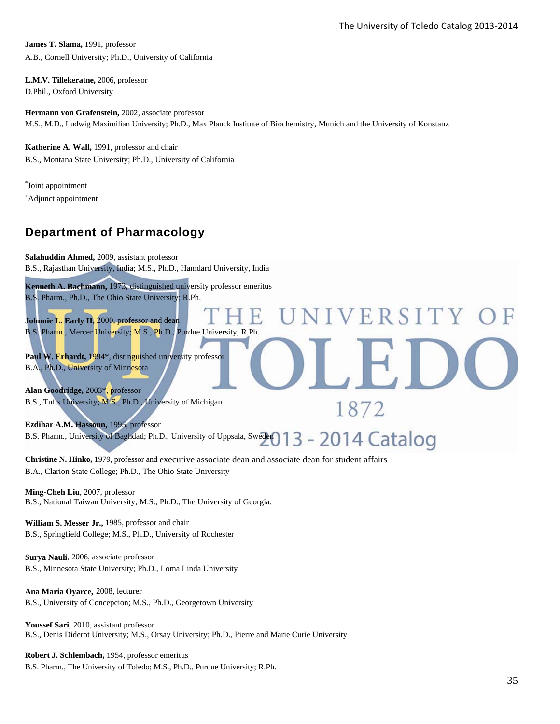ERSITY

1872

**James T. Slama,** 1991, professor A.B., Cornell University; Ph.D., University of California

**L.M.V. Tillekeratne,** 2006, professor D.Phil., Oxford University

**Hermann von Grafenstein,** 2002, associate professor M.S., M.D., Ludwig Maximilian University; Ph.D., Max Planck Institute of Biochemistry, Munich and the University of Konstanz

**Katherine A. Wall,** 1991, professor and chair B.S., Montana State University; Ph.D., University of California

\* Joint appointment + Adjunct appointment

## **Department of Pharmacology**

**Salahuddin Ahmed,** 2009, assistant professor B.S., Rajasthan University, India; M.S., Ph.D., Hamdard University, India

**Kenneth A. Bachmann,** 1973, distinguished university professor emeritus B.S. Pharm., Ph.D., The Ohio State University; R.Ph.

**Johnnie L. Early II,** 2000, professor and dean B.S. Pharm., Mercer University; M.S., Ph.D., Purdue University; R.Ph.

Paul W. Erhardt, 1994\*, distinguished university professor B.A., Ph.D., University of Minnesota

**Alan Goodridge,** 2003\*, professor B.S., Tufts University; M.S., Ph.D., University of Michigan

**Ezdihar A.M. Hassoun,** 1995, professor B.S. Pharm., University of Baghdad; Ph.D., University of Uppsala, Sweden 13 - 2014 Catalog

**Christine N. Hinko,** 1979, professor and executive associate dean and associate dean for student affairs B.A., Clarion State College; Ph.D., The Ohio State University

**Ming-Cheh Liu**, 2007, professor B.S., National Taiwan University; M.S., Ph.D., The University of Georgia.

**William S. Messer Jr.,** 1985, professor and chair B.S., Springfield College; M.S., Ph.D., University of Rochester

**Surya Nauli**, 2006, associate professor B.S., Minnesota State University; Ph.D., Loma Linda University

**Ana Maria Oyarce,** 2008, lecturer B.S., University of Concepcion; M.S., Ph.D., Georgetown University

**Youssef Sari**, 2010, assistant professor B.S., Denis Diderot University; M.S., Orsay University; Ph.D., Pierre and Marie Curie University

**Robert J. Schlembach,** 1954, professor emeritus B.S. Pharm., The University of Toledo; M.S., Ph.D., Purdue University; R.Ph.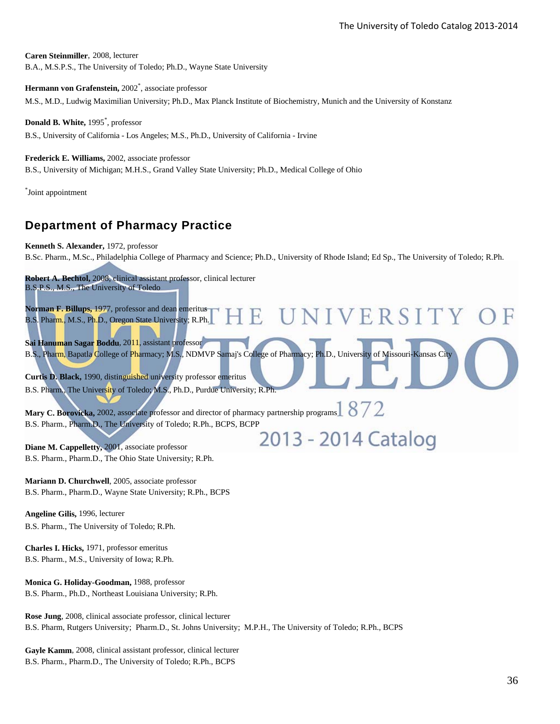**Caren Steinmiller**, 2008, lecturer B.A., M.S.P.S., The University of Toledo; Ph.D., Wayne State University

Hermann von Grafenstein, 2002<sup>\*</sup>, associate professor M.S., M.D., Ludwig Maximilian University; Ph.D., Max Planck Institute of Biochemistry, Munich and the University of Konstanz

**Donald B. White,** 1995\* , professor B.S., University of California - Los Angeles; M.S., Ph.D., University of California - Irvine

#### **Frederick E. Williams,** 2002, associate professor

B.S., University of Michigan; M.H.S., Grand Valley State University; Ph.D., Medical College of Ohio

\* Joint appointment

## **Department of Pharmacy Practice**

**Kenneth S. Alexander,** 1972, professor

B.Sc. Pharm., M.Sc., Philadelphia College of Pharmacy and Science; Ph.D., University of Rhode Island; Ed Sp., The University of Toledo; R.Ph.

**Robert A. Bechtol,** 2008, clinical assistant professor, clinical lecturer B.S.P.S., M.S., The University of Toledo

**Norman F. Billups,** 1977, professor and dean emeritus NIVERSITY F. B.S. Pharm., M.S., Ph.D., Oregon State University; R.Ph. **Sai Hanuman Sagar Boddu**, 2011, assistant professor B.S., Pharm, Bapatla College of Pharmacy; M.S., NDMVP Samaj's College of Pharmacy; Ph.D., University of Missouri-Kansas City **Curtis D. Black,** 1990, distinguished university professor emeritus B.S. Pharm., The University of Toledo; M.S., Ph.D., Purdue University; R.Ph. Mary C. Borovicka, 2002, associate professor and director of pharmacy partnership programs 3 872 B.S. Pharm., Pharm.D., The University of Toledo; R.Ph., BCPS, BCPP 2013 - 2014 Catalog

**Diane M. Cappelletty,** 2001, associate professor B.S. Pharm., Pharm.D., The Ohio State University; R.Ph.

**Mariann D. Churchwell**, 2005, associate professor B.S. Pharm., Pharm.D., Wayne State University; R.Ph., BCPS

**Angeline Gilis,** 1996, lecturer B.S. Pharm., The University of Toledo; R.Ph.

**Charles I. Hicks,** 1971, professor emeritus B.S. Pharm., M.S., University of Iowa; R.Ph.

**Monica G. Holiday-Goodman,** 1988, professor B.S. Pharm., Ph.D., Northeast Louisiana University; R.Ph.

**Rose Jung**, 2008, clinical associate professor, clinical lecturer B.S. Pharm, Rutgers University; Pharm.D., St. Johns University; M.P.H., The University of Toledo; R.Ph., BCPS

**Gayle Kamm**, 2008, clinical assistant professor, clinical lecturer B.S. Pharm., Pharm.D., The University of Toledo; R.Ph., BCPS